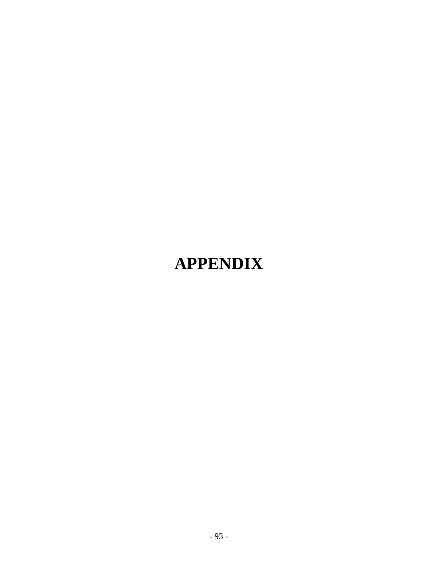# **APPENDIX**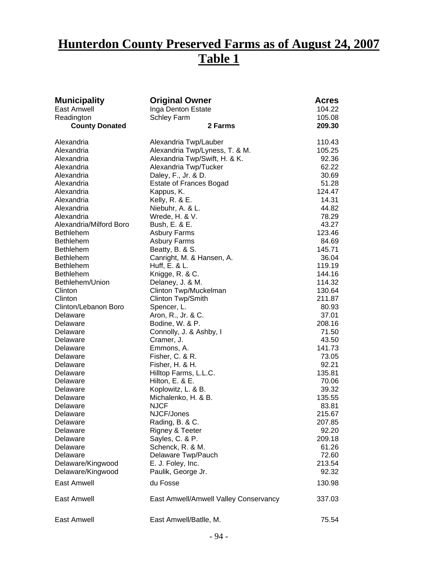## **Hunterdon County Preserved Farms as of August 24, 2007 Table 1**

| <b>Municipality</b>     | <b>Original Owner</b>                 | <b>Acres</b>     |
|-------------------------|---------------------------------------|------------------|
| East Amwell             | Inga Denton Estate                    | 104.22           |
| Readington              | <b>Schley Farm</b>                    | 105.08           |
| <b>County Donated</b>   | 2 Farms                               | 209.30           |
| Alexandria              | Alexandria Twp/Lauber                 | 110.43           |
| Alexandria              | Alexandria Twp/Lyness, T. & M.        | 105.25           |
| Alexandria              | Alexandria Twp/Swift, H. & K.         | 92.36            |
| Alexandria              | Alexandria Twp/Tucker                 | 62.22            |
| Alexandria              | Daley, F., Jr. & D.                   | 30.69            |
| Alexandria              | <b>Estate of Frances Bogad</b>        | 51.28            |
| Alexandria              | Kappus, K.                            | 124.47           |
| Alexandria              | Kelly, R. & E.                        | 14.31            |
| Alexandria              | Niebuhr, A. & L.                      | 44.82            |
| Alexandria              | Wrede, H. & V.                        | 78.29            |
| Alexandria/Milford Boro | Bush, E. & E.                         | 43.27            |
| <b>Bethlehem</b>        | <b>Asbury Farms</b>                   | 123.46           |
| <b>Bethlehem</b>        | <b>Asbury Farms</b>                   | 84.69            |
| <b>Bethlehem</b>        | Beatty, B. & S.                       | 145.71           |
| <b>Bethlehem</b>        | Canright, M. & Hansen, A.             | 36.04            |
| <b>Bethlehem</b>        | Huff, E. & L.                         | 119.19           |
| <b>Bethlehem</b>        | Knigge, R. & C.                       | 144.16           |
| Bethlehem/Union         | Delaney, J. & M.                      | 114.32           |
| Clinton                 | Clinton Twp/Muckelman                 | 130.64           |
| Clinton                 | Clinton Twp/Smith                     | 211.87           |
| Clinton/Lebanon Boro    | Spencer, L.                           | 80.93            |
| Delaware                | Aron, R., Jr. & C.                    | 37.01            |
| Delaware                | Bodine, W. & P.                       | 208.16           |
| Delaware                | Connolly, J. & Ashby, I               | 71.50            |
| Delaware                | Cramer, J.                            | 43.50            |
| Delaware                | Emmons, A.                            | 141.73           |
| Delaware                | Fisher, C. & R.                       | 73.05            |
| Delaware                | Fisher, H. & H.                       | 92.21            |
| Delaware                | Hilltop Farms, L.L.C.                 | 135.81           |
| Delaware                | Hilton, E. & E.                       | 70.06            |
| Delaware                | Koplowitz, L. & B.                    | 39.32            |
| Delaware                | Michalenko, H. & B.<br><b>NJCF</b>    | 135.55           |
| Delaware                |                                       | 83.81            |
| Delaware                | NJCF/Jones<br>Rading, B. & C.         | 215.67<br>207.85 |
| Delaware<br>Delaware    | Rigney & Teeter                       | 92.20            |
| Delaware                | Sayles, C. & P.                       | 209.18           |
| Delaware                | Schenck, R. & M.                      | 61.26            |
| Delaware                | Delaware Twp/Pauch                    | 72.60            |
| Delaware/Kingwood       | E. J. Foley, Inc.                     | 213.54           |
| Delaware/Kingwood       | Paulik, George Jr.                    | 92.32            |
|                         |                                       |                  |
| East Amwell             | du Fosse                              | 130.98           |
| East Amwell             | East Amwell/Amwell Valley Conservancy | 337.03           |
| East Amwell             | East Amwell/Batlle, M.                | 75.54            |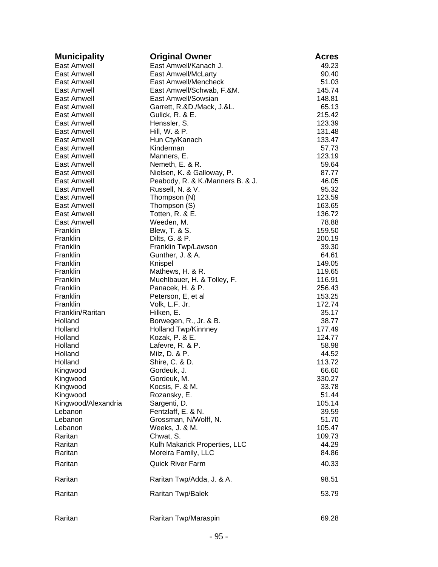| <b>Municipality</b>  | <b>Original Owner</b>             | <b>Acres</b>    |
|----------------------|-----------------------------------|-----------------|
| East Amwell          | East Amwell/Kanach J.             | 49.23           |
| East Amwell          | <b>East Amwell/McLarty</b>        | 90.40           |
| East Amwell          | East Amwell/Mencheck              | 51.03           |
| East Amwell          | East Amwell/Schwab, F.&M.         | 145.74          |
| East Amwell          | East Amwell/Sowsian               | 148.81          |
| East Amwell          | Garrett, R.&D./Mack, J.&L.        | 65.13           |
| East Amwell          | Gulick, R. & E.                   | 215.42          |
| East Amwell          | Henssler, S.                      | 123.39          |
| East Amwell          | Hill, W. & P.                     | 131.48          |
| East Amwell          | Hun Cty/Kanach                    | 133.47          |
| East Amwell          | Kinderman                         | 57.73           |
| East Amwell          | Manners, E.                       | 123.19          |
| East Amwell          | Nemeth, E. & R.                   | 59.64           |
| East Amwell          | Nielsen, K. & Galloway, P.        | 87.77           |
| East Amwell          | Peabody, R. & K./Manners B. & J.  | 46.05           |
| East Amwell          | Russell, N. & V.                  | 95.32           |
| East Amwell          | Thompson (N)                      | 123.59          |
| East Amwell          | Thompson (S)                      | 163.65          |
| East Amwell          | Totten, R. & E.                   | 136.72          |
| East Amwell          | Weeden, M.                        | 78.88           |
| Franklin             | Blew, T. & S.                     | 159.50          |
| Franklin             | Dilts, G. & P.                    | 200.19          |
| Franklin             | Franklin Twp/Lawson               | 39.30           |
| Franklin             | Gunther, J. & A.                  | 64.61           |
| Franklin             | Knispel                           | 149.05          |
| Franklin             | Mathews, H. & R.                  | 119.65          |
| Franklin             | Muehlbauer, H. & Tolley, F.       | 116.91          |
| Franklin             | Panacek, H. & P.                  | 256.43          |
| Franklin             | Peterson, E, et al                | 153.25          |
| Franklin             | Volk, L.F. Jr.                    | 172.74          |
| Franklin/Raritan     | Hilken, E.                        | 35.17           |
| Holland              | Borwegen, R., Jr. & B.            | 38.77           |
| Holland              | Holland Twp/Kinnney               | 177.49          |
| Holland              | Kozak, P. & E.                    | 124.77          |
| Holland<br>Holland   | Lafevre, R. & P.<br>Milz, D. & P. | 58.98           |
| Holland              |                                   | 44.52<br>113.72 |
|                      | Shire, C. & D.<br>Gordeuk, J.     | 66.60           |
| Kingwood<br>Kingwood | Gordeuk, M.                       | 330.27          |
| Kingwood             | Kocsis, F. & M.                   | 33.78           |
| Kingwood             | Rozansky, E.                      | 51.44           |
| Kingwood/Alexandria  | Sargenti, D.                      | 105.14          |
| Lebanon              | Fentzlaff, E. & N.                | 39.59           |
| Lebanon              | Grossman, N/Wolff, N.             | 51.70           |
| Lebanon              | Weeks, J. & M.                    | 105.47          |
| Raritan              | Chwat, S.                         | 109.73          |
| Raritan              | Kulh Makarick Properties, LLC     | 44.29           |
| Raritan              | Moreira Family, LLC               | 84.86           |
| Raritan              | <b>Quick River Farm</b>           | 40.33           |
| Raritan              | Raritan Twp/Adda, J. & A.         | 98.51           |
| Raritan              | <b>Raritan Twp/Balek</b>          | 53.79           |
|                      |                                   |                 |
| Raritan              | Raritan Twp/Maraspin              | 69.28           |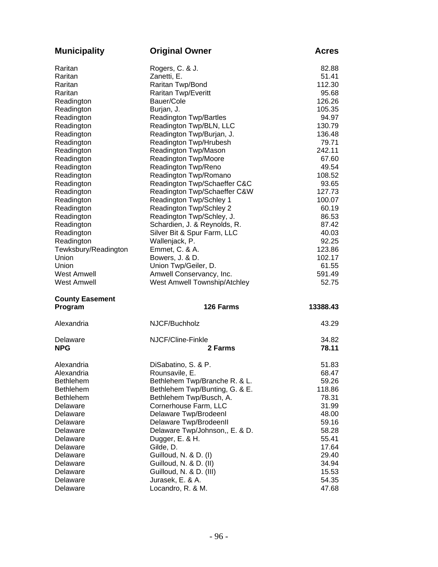| <b>Municipality</b>    | <b>Original Owner</b>          | <b>Acres</b> |
|------------------------|--------------------------------|--------------|
| Raritan                | Rogers, C. & J.                | 82.88        |
| Raritan                | Zanetti, E.                    | 51.41        |
| Raritan                | Raritan Twp/Bond               | 112.30       |
| Raritan                | Raritan Twp/Everitt            | 95.68        |
| Readington             | Bauer/Cole                     | 126.26       |
| Readington             | Burjan, J.                     | 105.35       |
| Readington             | <b>Readington Twp/Bartles</b>  | 94.97        |
| Readington             | Readington Twp/BLN, LLC        | 130.79       |
| Readington             | Readington Twp/Burjan, J.      | 136.48       |
| Readington             | Readington Twp/Hrubesh         | 79.71        |
| Readington             | Readington Twp/Mason           | 242.11       |
| Readington             | Readington Twp/Moore           | 67.60        |
| Readington             | Readington Twp/Reno            | 49.54        |
| Readington             | Readington Twp/Romano          | 108.52       |
| Readington             | Readington Twp/Schaeffer C&C   | 93.65        |
| Readington             | Readington Twp/Schaeffer C&W   | 127.73       |
| Readington             | Readington Twp/Schley 1        | 100.07       |
| Readington             | Readington Twp/Schley 2        | 60.19        |
| Readington             | Readington Twp/Schley, J.      | 86.53        |
| Readington             | Schardien, J. & Reynolds, R.   | 87.42        |
| Readington             | Silver Bit & Spur Farm, LLC    | 40.03        |
| Readington             | Wallenjack, P.                 | 92.25        |
| Tewksbury/Readington   | Emmet, C. & A.                 | 123.86       |
| Union                  | Bowers, J. & D.                | 102.17       |
| Union                  | Union Twp/Geiler, D.           | 61.55        |
| <b>West Amwell</b>     | Amwell Conservancy, Inc.       | 591.49       |
| <b>West Amwell</b>     | West Amwell Township/Atchley   | 52.75        |
| <b>County Easement</b> |                                |              |
| Program                | 126 Farms                      | 13388.43     |
| Alexandria             | NJCF/Buchholz                  | 43.29        |
| Delaware               | NJCF/Cline-Finkle              | 34.82        |
| <b>NPG</b>             | 2 Farms                        | 78.11        |
| Alexandria             | DiSabatino, S. & P             | 51.83        |
| Alexandria             | Rounsavile, E.                 | 68.47        |
| <b>Bethlehem</b>       | Bethlehem Twp/Branche R. & L.  | 59.26        |
| <b>Bethlehem</b>       | Bethlehem Twp/Bunting, G. & E. | 118.86       |
| <b>Bethlehem</b>       | Bethlehem Twp/Busch, A.        | 78.31        |
| Delaware               | Cornerhouse Farm, LLC          | 31.99        |
| Delaware               | Delaware Twp/Brodeenl          | 48.00        |
| Delaware               | Delaware Twp/BrodeenII         | 59.16        |
| Delaware               | Delaware Twp/Johnson,, E. & D. | 58.28        |
| Delaware               | Dugger, E. & H.                | 55.41        |
| Delaware               | Gilde, D.                      | 17.64        |
| Delaware               | Guilloud, N. & D. (I)          | 29.40        |
| Delaware               | Guilloud, N. & D. (II)         | 34.94        |
| Delaware               | Guilloud, N. & D. (III)        | 15.53        |
| Delaware               | Jurasek, E. & A.               | 54.35        |
| Delaware               | Locandro, R. & M.              | 47.68        |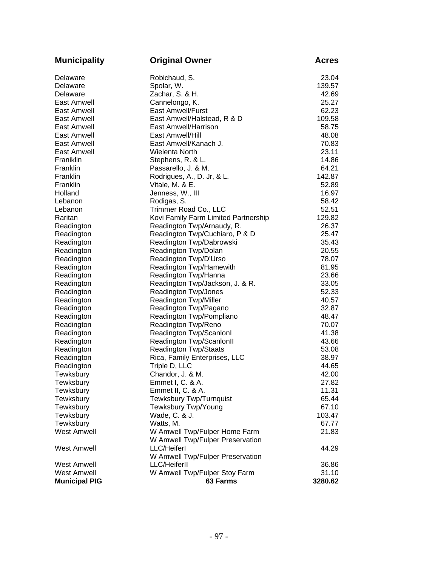| <b>Municipality</b>  | <b>Original Owner</b>                | <b>Acres</b> |
|----------------------|--------------------------------------|--------------|
| Delaware             | Robichaud, S.                        | 23.04        |
| Delaware             | Spolar, W.                           | 139.57       |
| Delaware             | Zachar, S. & H.                      | 42.69        |
| East Amwell          | Cannelongo, K.                       | 25.27        |
| East Amwell          | <b>East Amwell/Furst</b>             | 62.23        |
| East Amwell          | East Amwell/Halstead, R & D          | 109.58       |
| East Amwell          | East Amwell/Harrison                 | 58.75        |
| East Amwell          | East Amwell/Hill                     | 48.08        |
| East Amwell          | East Amwell/Kanach J.                | 70.83        |
| East Amwell          | <b>Wielenta North</b>                | 23.11        |
| Franiklin            | Stephens, R. & L.                    | 14.86        |
| Franklin             | Passarello, J. & M.                  | 64.21        |
| Franklin             | Rodrigues, A., D. Jr, & L.           | 142.87       |
| Franklin             | Vitale, M. & E.                      | 52.89        |
| Holland              | Jenness, W., III                     | 16.97        |
| Lebanon              | Rodigas, S.                          | 58.42        |
| Lebanon              | Trimmer Road Co., LLC                | 52.51        |
| Raritan              | Kovi Family Farm Limited Partnership | 129.82       |
| Readington           | Readington Twp/Arnaudy, R.           | 26.37        |
| Readington           | Readington Twp/Cuchiaro, P & D       | 25.47        |
| Readington           | Readington Twp/Dabrowski             | 35.43        |
| Readington           | Readington Twp/Dolan                 | 20.55        |
| Readington           | Readington Twp/D'Urso                | 78.07        |
| Readington           | Readington Twp/Hamewith              | 81.95        |
| Readington           | Readington Twp/Hanna                 | 23.66        |
| Readington           | Readington Twp/Jackson, J. & R.      | 33.05        |
| Readington           | Readington Twp/Jones                 | 52.33        |
| Readington           | Readington Twp/Miller                | 40.57        |
| Readington           | Readington Twp/Pagano                | 32.87        |
| Readington           | Readington Twp/Pompliano             | 48.47        |
| Readington           | Readington Twp/Reno                  | 70.07        |
| Readington           | Readington Twp/Scanlonl              | 41.38        |
| Readington           | Readington Twp/ScanlonII             | 43.66        |
| Readington           | <b>Readington Twp/Staats</b>         | 53.08        |
| Readington           | Rica, Family Enterprises, LLC        | 38.97        |
| Readington           | Triple D, LLC                        | 44.65        |
| Tewksbury            | Chandor, J. & M.                     | 42.00        |
| Tewksbury            | Emmet I, C. & A.                     | 27.82        |
| Tewksbury            | Emmet II, C. & A.                    | 11.31        |
| Tewksbury            | <b>Tewksbury Twp/Turnquist</b>       | 65.44        |
| Tewksbury            | Tewksbury Twp/Young                  | 67.10        |
| Tewksbury            | Wade, C. & J.                        | 103.47       |
| Tewksbury            | Watts, M.                            | 67.77        |
| <b>West Amwell</b>   | W Amwell Twp/Fulper Home Farm        | 21.83        |
|                      | W Amwell Twp/Fulper Preservation     |              |
| <b>West Amwell</b>   | <b>LLC/Heiferl</b>                   | 44.29        |
|                      | W Amwell Twp/Fulper Preservation     |              |
| <b>West Amwell</b>   | <b>LLC/Heiferll</b>                  | 36.86        |
| <b>West Amwell</b>   | W Amwell Twp/Fulper Stoy Farm        | 31.10        |
| <b>Municipal PIG</b> | 63 Farms                             | 3280.62      |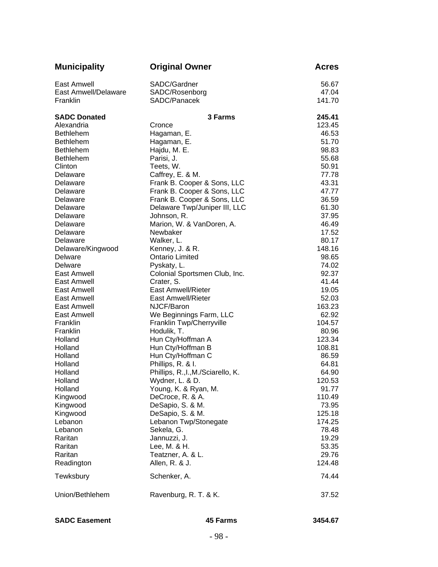| <b>Municipality</b>  | <b>Original Owner</b>                    | <b>Acres</b>    |
|----------------------|------------------------------------------|-----------------|
| East Amwell          | SADC/Gardner                             | 56.67           |
| East Amwell/Delaware | SADC/Rosenborg                           | 47.04           |
| Franklin             | SADC/Panacek                             | 141.70          |
| <b>SADC Donated</b>  | <b>3 Farms</b>                           | 245.41          |
| Alexandria           | Cronce                                   | 123.45          |
| <b>Bethlehem</b>     | Hagaman, E.                              | 46.53           |
| <b>Bethlehem</b>     | Hagaman, E.                              | 51.70           |
| <b>Bethlehem</b>     | Hajdu, M. E.                             | 98.83           |
| <b>Bethlehem</b>     | Parisi, J.                               | 55.68           |
| Clinton              | Teets, W.                                | 50.91           |
| Delaware             | Caffrey, E. & M.                         | 77.78           |
| Delaware             | Frank B. Cooper & Sons, LLC              | 43.31           |
| Delaware             | Frank B. Cooper & Sons, LLC              | 47.77           |
| Delaware             | Frank B. Cooper & Sons, LLC              | 36.59           |
| Delaware             | Delaware Twp/Juniper III, LLC            | 61.30           |
| Delaware             | Johnson, R.                              | 37.95           |
| Delaware             | Marion, W. & VanDoren, A.                | 46.49           |
| Delaware             | Newbaker                                 | 17.52           |
| Delaware             | Walker, L.                               | 80.17           |
| Delaware/Kingwood    | Kenney, J. & R.                          | 148.16          |
| Delware              | <b>Ontario Limited</b>                   | 98.65           |
| Delware              | Pyskaty, L.                              | 74.02           |
| East Amwell          | Colonial Sportsmen Club, Inc.            | 92.37           |
| East Amwell          | Crater, S.                               | 41.44           |
| East Amwell          | East Amwell/Rieter                       | 19.05           |
| East Amwell          | East Amwell/Rieter                       | 52.03           |
| East Amwell          | NJCF/Baron                               | 163.23          |
| East Amwell          | We Beginnings Farm, LLC                  | 62.92           |
| Franklin             | Franklin Twp/Cherryville                 | 104.57          |
| Franklin             | Hodulik, T.                              | 80.96           |
| Holland              | Hun Cty/Hoffman A                        | 123.34          |
| Holland              | Hun Cty/Hoffman B                        | 108.81          |
| Holland<br>Holland   | Hun Cty/Hoffman C                        | 86.59           |
|                      | Phillips, R. & I.                        | 64.81           |
| Holland              | Phillips, R., I., M./Sciarello, K.       | 64.90           |
| Holland              | Wydner, L. & D.                          | 120.53          |
| Holland              | Young, K. & Ryan, M.<br>DeCroce, R. & A. | 91.77<br>110.49 |
| Kingwood             | DeSapio, S. & M.                         | 73.95           |
| Kingwood<br>Kingwood | DeSapio, S. & M.                         | 125.18          |
| Lebanon              | Lebanon Twp/Stonegate                    | 174.25          |
| Lebanon              | Sekela, G.                               | 78.48           |
| Raritan              | Jannuzzi, J.                             | 19.29           |
| Raritan              | Lee, M. & H.                             | 53.35           |
| Raritan              | Teatzner, A. & L.                        | 29.76           |
| Readington           | Allen, R. & J.                           | 124.48          |
| Tewksbury            | Schenker, A.                             | 74.44           |
|                      |                                          |                 |
| Union/Bethlehem      | Ravenburg, R. T. & K.                    | 37.52           |

**SADC Easement 45 Farms 3454.67**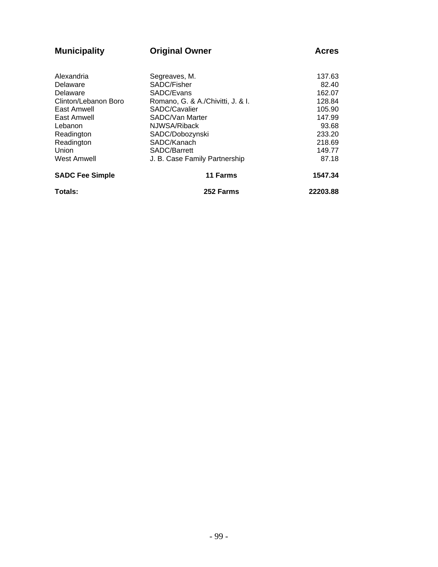| <b>Municipality</b>    | <b>Original Owner</b>             |          |  |  |
|------------------------|-----------------------------------|----------|--|--|
|                        |                                   |          |  |  |
| Alexandria             | Segreaves, M.                     | 137.63   |  |  |
| Delaware               | SADC/Fisher                       | 82.40    |  |  |
| Delaware               | SADC/Evans                        | 162.07   |  |  |
| Clinton/Lebanon Boro   | Romano, G. & A./Chivitti, J. & I. | 128.84   |  |  |
| East Amwell            | SADC/Cavalier                     | 105.90   |  |  |
| East Amwell            | SADC/Van Marter                   | 147.99   |  |  |
| Lebanon                | NJWSA/Riback                      | 93.68    |  |  |
| Readington             | SADC/Dobozynski                   | 233.20   |  |  |
| Readington             | SADC/Kanach                       | 218.69   |  |  |
| Union                  | SADC/Barrett                      | 149.77   |  |  |
| <b>West Amwell</b>     | J. B. Case Family Partnership     | 87.18    |  |  |
| <b>SADC Fee Simple</b> | 11 Farms                          | 1547.34  |  |  |
| Totals:                | 252 Farms                         | 22203.88 |  |  |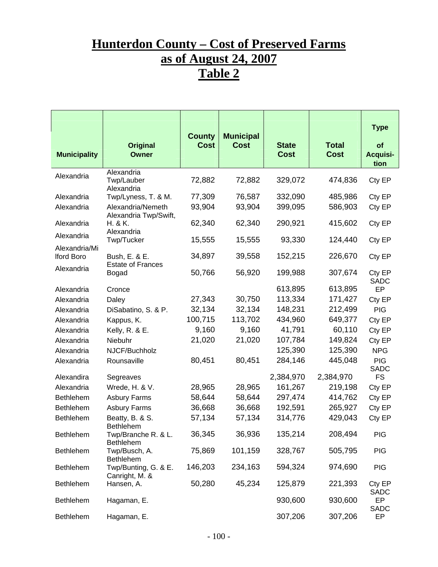## **Hunterdon County – Cost of Preserved Farms as of August 24, 2007 Table 2**

| <b>Municipality</b>         | <b>Original</b><br><b>Owner</b>            | <b>County</b><br><b>Cost</b> | <b>Municipal</b><br><b>Cost</b> | <b>State</b><br><b>Cost</b> | <b>Total</b><br><b>Cost</b> | <b>Type</b><br>of<br><b>Acquisi-</b><br>tion |
|-----------------------------|--------------------------------------------|------------------------------|---------------------------------|-----------------------------|-----------------------------|----------------------------------------------|
| Alexandria                  | Alexandria<br>Twp/Lauber                   | 72,882                       | 72,882                          | 329,072                     | 474,836                     | Cty EP                                       |
| Alexandria                  | Alexandria<br>Twp/Lyness, T. & M.          | 77,309                       | 76,587                          | 332,090                     | 485,986                     | Cty EP                                       |
| Alexandria                  | Alexandria/Nemeth<br>Alexandria Twp/Swift, | 93,904                       | 93,904                          | 399,095                     | 586,903                     | Cty EP                                       |
| Alexandria                  | H. & K.<br>Alexandria                      | 62,340                       | 62,340                          | 290,921                     | 415,602                     | Cty EP                                       |
| Alexandria                  | Twp/Tucker                                 | 15,555                       | 15,555                          | 93,330                      | 124,440                     | Cty EP                                       |
| Alexandria/Mi<br>Iford Boro | Bush, E. & E.                              | 34,897                       | 39,558                          | 152,215                     | 226,670                     | Cty EP                                       |
| Alexandria                  | <b>Estate of Frances</b><br>Bogad          | 50,766                       | 56,920                          | 199,988                     | 307,674                     | Cty EP<br><b>SADC</b>                        |
| Alexandria                  | Cronce                                     |                              |                                 | 613,895                     | 613,895                     | EP                                           |
| Alexandria                  | Daley                                      | 27,343                       | 30,750                          | 113,334                     | 171,427                     | Cty EP                                       |
| Alexandria                  | DiSabatino, S. & P.                        | 32,134                       | 32,134                          | 148,231                     | 212,499                     | <b>PIG</b>                                   |
| Alexandria                  | Kappus, K.                                 | 100,715                      | 113,702                         | 434,960                     | 649,377                     | Cty EP                                       |
| Alexandria                  | Kelly, R. & E.                             | 9,160                        | 9,160                           | 41,791                      | 60,110                      | Cty EP                                       |
| Alexandria                  | Niebuhr                                    | 21,020                       | 21,020                          | 107,784                     | 149,824                     | Cty EP                                       |
| Alexandria                  | NJCF/Buchholz                              |                              |                                 | 125,390                     | 125,390                     | <b>NPG</b>                                   |
| Alexandria                  | Rounsaville                                | 80,451                       | 80,451                          | 284,146                     | 445,048                     | <b>PIG</b><br><b>SADC</b>                    |
| Alexandira                  | Segreaves                                  |                              |                                 | 2,384,970                   | 2,384,970                   | <b>FS</b>                                    |
| Alexandria                  | Wrede, H. & V.                             | 28,965                       | 28,965                          | 161,267                     | 219,198                     | Cty EP                                       |
| <b>Bethlehem</b>            | <b>Asbury Farms</b>                        | 58,644                       | 58,644                          | 297,474                     | 414,762                     | Cty EP                                       |
| <b>Bethlehem</b>            | <b>Asbury Farms</b>                        | 36,668                       | 36,668                          | 192,591                     | 265,927                     | Cty EP                                       |
| <b>Bethlehem</b>            | Beatty, B. & S.<br><b>Bethlehem</b>        | 57,134                       | 57,134                          | 314,776                     | 429,043                     | Cty EP                                       |
| <b>Bethlehem</b>            | Twp/Branche R. & L.<br>Bethlehem           | 36,345                       | 36,936                          | 135,214                     | 208,494                     | <b>PIG</b>                                   |
| <b>Bethlehem</b>            | Twp/Busch, A.<br>Bethlehem                 | 75,869                       | 101,159                         | 328,767                     | 505,795                     | <b>PIG</b>                                   |
| <b>Bethlehem</b>            | Twp/Bunting, G. & E.<br>Canright, M. &     | 146,203                      | 234,163                         | 594,324                     | 974,690                     | <b>PIG</b>                                   |
| <b>Bethlehem</b>            | Hansen, A.                                 | 50,280                       | 45,234                          | 125,879                     | 221,393                     | Cty EP<br>SADC                               |
| <b>Bethlehem</b>            | Hagaman, E.                                |                              |                                 | 930,600                     | 930,600                     | EP<br><b>SADC</b>                            |
| Bethlehem                   | Hagaman, E.                                |                              |                                 | 307,206                     | 307,206                     | EP                                           |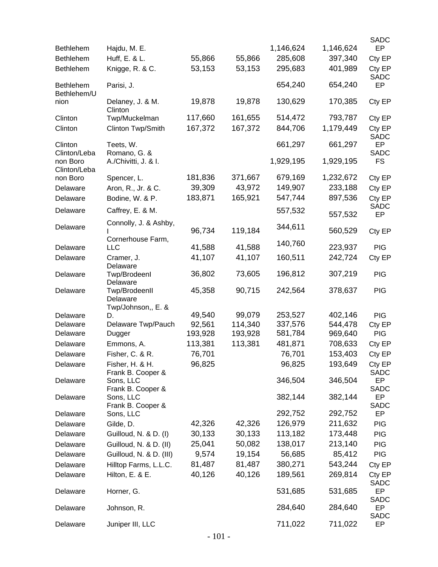| <b>Bethlehem</b>                | Hajdu, M. E.                                    |         |         | 1,146,624 | 1,146,624 | <b>SADC</b><br>EP     |
|---------------------------------|-------------------------------------------------|---------|---------|-----------|-----------|-----------------------|
| Bethlehem                       | Huff, E. & L.                                   | 55,866  | 55,866  | 285,608   | 397,340   | Cty EP                |
| Bethlehem                       | Knigge, R. & C.                                 | 53,153  | 53,153  | 295,683   | 401,989   | Cty EP<br><b>SADC</b> |
| <b>Bethlehem</b><br>Bethlehem/U | Parisi, J.                                      |         |         | 654,240   | 654,240   | EP                    |
| nion                            | Delaney, J. & M.<br>Clinton                     | 19,878  | 19,878  | 130,629   | 170,385   | Cty EP                |
| Clinton                         | Twp/Muckelman                                   | 117,660 | 161,655 | 514,472   | 793,787   | Cty EP                |
| Clinton                         | Clinton Twp/Smith                               | 167,372 | 167,372 | 844,706   | 1,179,449 | Cty EP<br><b>SADC</b> |
| Clinton<br>Clinton/Leba         | Teets, W.<br>Romano, G. &                       |         |         | 661,297   | 661,297   | EP<br>SADC            |
| non Boro<br>Clinton/Leba        | A./Chivitti, J. & I.                            |         |         | 1,929,195 | 1,929,195 | <b>FS</b>             |
| non Boro                        | Spencer, L.                                     | 181,836 | 371,667 | 679,169   | 1,232,672 | Cty EP                |
| Delaware                        | Aron, R., Jr. & C.                              | 39,309  | 43,972  | 149,907   | 233,188   | Cty EP                |
| Delaware                        | Bodine, W. & P.                                 | 183,871 | 165,921 | 547,744   | 897,536   | Cty EP                |
| Delaware                        | Caffrey, E. & M.                                |         |         | 557,532   | 557,532   | <b>SADC</b><br>EP     |
| Delaware                        | Connolly, J. & Ashby,                           | 96,734  | 119,184 | 344,611   | 560,529   | Cty EP                |
| Delaware                        | Cornerhouse Farm,<br>LLC                        | 41,588  | 41,588  | 140,760   | 223,937   | <b>PIG</b>            |
| Delaware                        | Cramer, J.                                      | 41,107  | 41,107  | 160,511   | 242,724   | Cty EP                |
|                                 | Delaware                                        |         |         |           |           |                       |
| Delaware                        | Twp/BrodeenI<br>Delaware                        | 36,802  | 73,605  | 196,812   | 307,219   | <b>PIG</b>            |
| Delaware                        | Twp/BrodeenII<br>Delaware<br>Twp/Johnson,, E. & | 45,358  | 90,715  | 242,564   | 378,637   | <b>PIG</b>            |
| Delaware                        | D.                                              | 49,540  | 99,079  | 253,527   | 402,146   | <b>PIG</b>            |
| Delaware                        | Delaware Twp/Pauch                              | 92,561  | 114,340 | 337,576   | 544,478   | Cty EP                |
| Delaware                        | Dugger                                          | 193,928 | 193,928 | 581,784   | 969,640   | <b>PIG</b>            |
| Delaware                        | Emmons, A.                                      | 113,381 | 113,381 | 481,871   | 708,633   | Cty EP                |
| Delaware                        | Fisher, C. & R.                                 | 76,701  |         | 76,701    | 153,403   | Cty EP                |
| Delaware                        | Fisher, H. & H.<br>Frank B. Cooper &            | 96,825  |         | 96,825    | 193,649   | Cty EP<br>SADC        |
| Delaware                        | Sons, LLC<br>Frank B. Cooper &                  |         |         | 346,504   | 346,504   | EP<br>SADC            |
| Delaware                        | Sons, LLC<br>Frank B. Cooper &                  |         |         | 382,144   | 382,144   | EP<br>SADC            |
| Delaware                        | Sons, LLC                                       |         |         | 292,752   | 292,752   | EP                    |
| Delaware                        | Gilde, D.                                       | 42,326  | 42,326  | 126,979   | 211,632   | <b>PIG</b>            |
| Delaware                        | Guilloud, N. & D. (I)                           | 30,133  | 30,133  | 113,182   | 173,448   | <b>PIG</b>            |
| Delaware                        | Guilloud, N. & D. (II)                          | 25,041  | 50,082  | 138,017   | 213,140   | <b>PIG</b>            |
| Delaware                        | Guilloud, N. & D. (III)                         | 9,574   | 19,154  | 56,685    | 85,412    | <b>PIG</b>            |
| Delaware                        | Hilltop Farms, L.L.C.                           | 81,487  | 81,487  | 380,271   | 543,244   | Cty EP                |
| Delaware                        | Hilton, E. & E.                                 | 40,126  | 40,126  | 189,561   | 269,814   | Cty EP<br><b>SADC</b> |
| Delaware                        | Horner, G.                                      |         |         | 531,685   | 531,685   | EP<br>SADC            |
| Delaware                        | Johnson, R.                                     |         |         | 284,640   | 284,640   | EP<br>SADC            |
| Delaware                        | Juniper III, LLC                                |         |         | 711,022   | 711,022   | EP                    |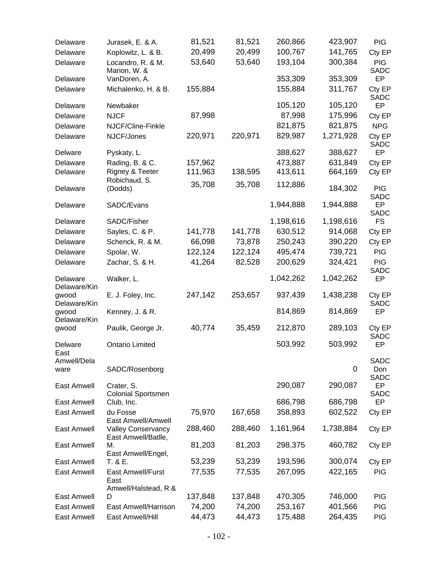| Delaware                              | Jurasek, E. & A.                                 | 81,521  | 81,521  | 260,866   | 423,907     | <b>PIG</b>                        |
|---------------------------------------|--------------------------------------------------|---------|---------|-----------|-------------|-----------------------------------|
| Delaware                              | Koplowitz, L. & B.                               | 20,499  | 20,499  | 100,767   | 141,765     | Cty EP                            |
| Delaware                              | Locandro, R. & M.<br>Marion, W. &                | 53,640  | 53,640  | 193,104   | 300,384     | <b>PIG</b><br><b>SADC</b>         |
| Delaware                              | VanDoren, A.                                     |         |         | 353,309   | 353,309     | <b>EP</b>                         |
| Delaware                              | Michalenko, H. & B.                              | 155,884 |         | 155,884   | 311,767     | Cty EP<br><b>SADC</b>             |
| Delaware                              | Newbaker                                         |         |         | 105,120   | 105,120     | EP                                |
| Delaware                              | <b>NJCF</b>                                      | 87,998  |         | 87,998    | 175,996     | Cty EP                            |
| Delaware                              | NJCF/Cline-Finkle                                |         |         | 821,875   | 821,875     | <b>NPG</b>                        |
| Delaware                              | NJCF/Jones                                       | 220,971 | 220,971 | 829,987   | 1,271,928   | Cty EP<br><b>SADC</b>             |
| Delware                               | Pyskaty, L.                                      |         |         | 388,627   | 388,627     | EP                                |
| Delaware                              | Rading, B. & C.                                  | 157,962 |         | 473,887   | 631,849     | Cty EP                            |
| Delaware                              | Rigney & Teeter                                  | 111,963 | 138,595 | 413,611   | 664,169     | Cty EP                            |
| Delaware                              | Robichaud, S.<br>(Dodds)                         | 35,708  | 35,708  | 112,886   | 184,302     | <b>PIG</b>                        |
| Delaware                              | SADC/Evans                                       |         |         | 1,944,888 | 1,944,888   | <b>SADC</b><br>EP<br><b>SADC</b>  |
| Delaware                              | SADC/Fisher                                      |         |         | 1,198,616 | 1,198,616   | <b>FS</b>                         |
| Delaware                              | Sayles, C. & P.                                  | 141,778 | 141,778 | 630,512   | 914,068     | Cty EP                            |
| Delaware                              | Schenck, R. & M.                                 | 66,098  | 73,878  | 250,243   | 390,220     | Cty EP                            |
| Delaware                              | Spolar, W.                                       | 122,124 | 122,124 | 495,474   | 739,721     | <b>PIG</b>                        |
| Delaware                              | Zachar, S. & H.                                  | 41,264  | 82,528  | 200,629   | 324,421     | <b>PIG</b>                        |
| Delaware                              | Walker, L.                                       |         |         | 1,042,262 | 1,042,262   | <b>SADC</b><br>EP                 |
| Delaware/Kin<br>gwood                 | E. J. Foley, Inc.                                | 247,142 | 253,657 | 937,439   | 1,438,238   | Cty EP                            |
| Delaware/Kin<br>gwood<br>Delaware/Kin | Kenney, J. & R.                                  |         |         | 814,869   | 814,869     | SADC<br>EP                        |
| gwood                                 | Paulik, George Jr.                               | 40,774  | 35,459  | 212,870   | 289,103     | Cty EP<br><b>SADC</b>             |
| Delware<br>East                       | <b>Ontario Limited</b>                           |         |         | 503,992   | 503,992     | EP                                |
| Amwell/Dela<br>ware                   | SADC/Rosenborg                                   |         |         |           | $\mathbf 0$ | <b>SADC</b><br>Don<br><b>SADC</b> |
| East Amwell                           | Crater, S.<br><b>Colonial Sportsmen</b>          |         |         | 290,087   | 290,087     | EP<br><b>SADC</b>                 |
| East Amwell                           | Club, Inc.                                       |         |         | 686,798   | 686,798     | EP                                |
| <b>East Amwell</b>                    | du Fosse<br>East Amwell/Amwell                   | 75,970  | 167,658 | 358,893   | 602,522     | Cty EP                            |
| <b>East Amwell</b>                    | <b>Valley Conservancy</b><br>East Amwell/Batlle, | 288,460 | 288,460 | 1,161,964 | 1,738,884   | Cty EP                            |
| <b>East Amwell</b>                    | М.<br>East Amwell/Engel,                         | 81,203  | 81,203  | 298,375   | 460,782     | Cty EP                            |
| East Amwell                           | T. & E.                                          | 53,239  | 53,239  | 193,596   | 300,074     | Cty EP                            |
| East Amwell                           | East Amwell/Furst<br>East                        | 77,535  | 77,535  | 267,095   | 422,165     | <b>PIG</b>                        |
| East Amwell                           | Amwell/Halstead, R &<br>D                        | 137,848 | 137,848 | 470,305   | 746,000     | <b>PIG</b>                        |
| <b>East Amwell</b>                    | East Amwell/Harrison                             | 74,200  | 74,200  | 253,167   | 401,566     | <b>PIG</b>                        |
| East Amwell                           | East Amwell/Hill                                 | 44,473  | 44,473  | 175,488   | 264,435     | <b>PIG</b>                        |
|                                       |                                                  |         |         |           |             |                                   |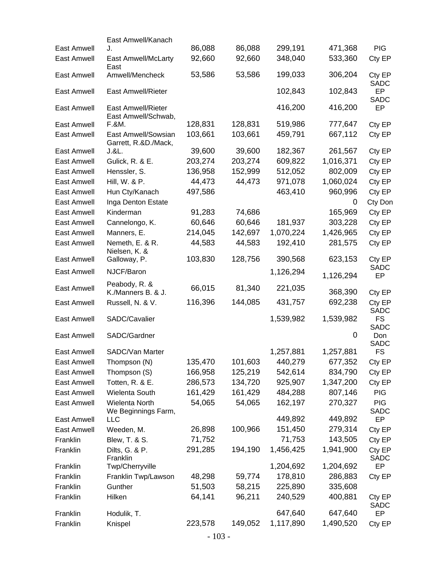|                    | East Amwell/Kanach                               |         |         |           |           |                           |
|--------------------|--------------------------------------------------|---------|---------|-----------|-----------|---------------------------|
| <b>East Amwell</b> | J.                                               | 86,088  | 86,088  | 299,191   | 471,368   | <b>PIG</b>                |
| East Amwell        | East Amwell/McLarty<br>East                      | 92,660  | 92,660  | 348,040   | 533,360   | Cty EP                    |
| <b>East Amwell</b> | Amwell/Mencheck                                  | 53,586  | 53,586  | 199,033   | 306,204   | Cty EP<br><b>SADC</b>     |
| <b>East Amwell</b> | <b>East Amwell/Rieter</b>                        |         |         | 102,843   | 102,843   | <b>EP</b><br><b>SADC</b>  |
| <b>East Amwell</b> | <b>East Amwell/Rieter</b><br>East Amwell/Schwab, |         |         | 416,200   | 416,200   | EP                        |
| <b>East Amwell</b> | F.&M.                                            | 128,831 | 128,831 | 519,986   | 777,647   | Cty EP                    |
| East Amwell        | East Amwell/Sowsian<br>Garrett, R.&D./Mack,      | 103,661 | 103,661 | 459,791   | 667,112   | Cty EP                    |
| East Amwell        | J.&L.                                            | 39,600  | 39,600  | 182,367   | 261,567   | Cty EP                    |
| East Amwell        | Gulick, R. & E.                                  | 203,274 | 203,274 | 609,822   | 1,016,371 | Cty EP                    |
| East Amwell        | Henssler, S.                                     | 136,958 | 152,999 | 512,052   | 802,009   | Cty EP                    |
| East Amwell        | Hill, W. & P.                                    | 44,473  | 44,473  | 971,078   | 1,060,024 | Cty EP                    |
| East Amwell        | Hun Cty/Kanach                                   | 497,586 |         | 463,410   | 960,996   | Cty EP                    |
| <b>East Amwell</b> | Inga Denton Estate                               |         |         |           | 0         | Cty Don                   |
| East Amwell        | Kinderman                                        | 91,283  | 74,686  |           | 165,969   | Cty EP                    |
| <b>East Amwell</b> | Cannelongo, K.                                   | 60,646  | 60,646  | 181,937   | 303,228   | Cty EP                    |
| East Amwell        | Manners, E.                                      | 214,045 | 142,697 | 1,070,224 | 1,426,965 | Cty EP                    |
| East Amwell        | Nemeth, E. & R.<br>Nielsen, K. &                 | 44,583  | 44,583  | 192,410   | 281,575   | Cty EP                    |
| East Amwell        | Galloway, P.                                     | 103,830 | 128,756 | 390,568   | 623,153   | Cty EP                    |
| East Amwell        | NJCF/Baron                                       |         |         | 1,126,294 | 1,126,294 | <b>SADC</b><br>EP         |
| East Amwell        | Peabody, R. &<br>K./Manners B. & J.              | 66,015  | 81,340  | 221,035   | 368,390   | Cty EP                    |
| East Amwell        | Russell, N. & V.                                 | 116,396 | 144,085 | 431,757   | 692,238   | Cty EP<br><b>SADC</b>     |
| <b>East Amwell</b> | SADC/Cavalier                                    |         |         | 1,539,982 | 1,539,982 | <b>FS</b><br><b>SADC</b>  |
| East Amwell        | SADC/Gardner                                     |         |         |           | 0         | Don<br><b>SADC</b>        |
| <b>East Amwell</b> | SADC/Van Marter                                  |         |         | 1,257,881 | 1,257,881 | <b>FS</b>                 |
| East Amwell        | Thompson (N)                                     | 135,470 | 101,603 | 440,279   | 677,352   | Cty EP                    |
| East Amwell        | Thompson (S)                                     | 166,958 | 125,219 | 542,614   | 834,790   | Cty EP                    |
| East Amwell        | Totten, R. & E.                                  | 286,573 | 134,720 | 925,907   | 1,347,200 | Cty EP                    |
| East Amwell        | Wielenta South                                   | 161,429 | 161,429 | 484,288   | 807,146   | <b>PIG</b>                |
| East Amwell        | Wielenta North<br>We Beginnings Farm,            | 54,065  | 54,065  | 162,197   | 270,327   | <b>PIG</b><br><b>SADC</b> |
| East Amwell        | <b>LLC</b>                                       |         |         | 449,892   | 449,892   | EP                        |
| East Amwell        | Weeden, M.                                       | 26,898  | 100,966 | 151,450   | 279,314   | Cty EP                    |
| Franklin           | Blew, T. & S.                                    | 71,752  |         | 71,753    | 143,505   | Cty EP                    |
| Franklin           | Dilts, G. & P.<br>Franklin                       | 291,285 | 194,190 | 1,456,425 | 1,941,900 | Cty EP<br><b>SADC</b>     |
| Franklin           | Twp/Cherryville                                  |         |         | 1,204,692 | 1,204,692 | EP                        |
| Franklin           | Franklin Twp/Lawson                              | 48,298  | 59,774  | 178,810   | 286,883   | Cty EP                    |
| Franklin           | Gunther                                          | 51,503  | 58,215  | 225,890   | 335,608   |                           |
| Franklin           | Hilken                                           | 64,141  | 96,211  | 240,529   | 400,881   | Cty EP<br>SADC            |
| Franklin           | Hodulik, T.                                      |         |         | 647,640   | 647,640   | EP                        |
| Franklin           | Knispel                                          | 223,578 | 149,052 | 1,117,890 | 1,490,520 | Cty EP                    |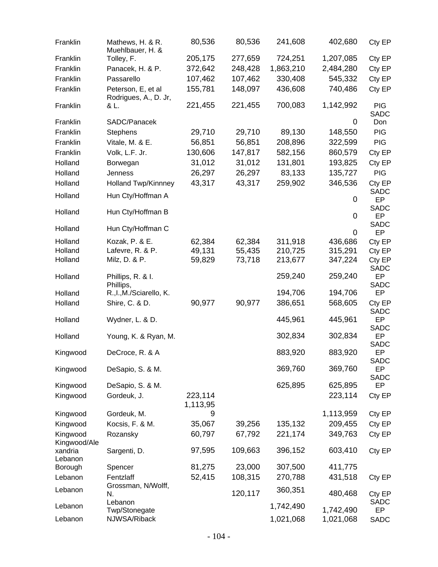| Franklin                 | Mathews, H. & R.<br>Muehlbauer, H. &        | 80,536              | 80,536  | 241,608   | 402,680     | Cty EP                    |
|--------------------------|---------------------------------------------|---------------------|---------|-----------|-------------|---------------------------|
| Franklin                 | Tolley, F.                                  | 205,175             | 277,659 | 724,251   | 1,207,085   | Cty EP                    |
| Franklin                 | Panacek, H. & P.                            | 372,642             | 248,428 | 1,863,210 | 2,484,280   | Cty EP                    |
| Franklin                 | Passarello                                  | 107,462             | 107,462 | 330,408   | 545,332     | Cty EP                    |
| Franklin                 | Peterson, E, et al<br>Rodrigues, A., D. Jr, | 155,781             | 148,097 | 436,608   | 740,486     | Cty EP                    |
| Franklin                 | & L.                                        | 221,455             | 221,455 | 700,083   | 1,142,992   | <b>PIG</b><br><b>SADC</b> |
| Franklin                 | SADC/Panacek                                |                     |         |           | $\mathbf 0$ | Don                       |
| Franklin                 | <b>Stephens</b>                             | 29,710              | 29,710  | 89,130    | 148,550     | <b>PIG</b>                |
| Franklin                 | Vitale, M. & E.                             | 56,851              | 56,851  | 208,896   | 322,599     | <b>PIG</b>                |
| Franklin                 | Volk, L.F. Jr.                              | 130,606             | 147,817 | 582,156   | 860,579     | Cty EP                    |
| Holland                  | Borwegan                                    | 31,012              | 31,012  | 131,801   | 193,825     | Cty EP                    |
| Holland                  | Jenness                                     | 26,297              | 26,297  | 83,133    | 135,727     | <b>PIG</b>                |
| Holland                  | <b>Holland Twp/Kinnney</b>                  | 43,317              | 43,317  | 259,902   | 346,536     | Cty EP                    |
| Holland                  | Hun Cty/Hoffman A                           |                     |         |           | $\mathbf 0$ | <b>SADC</b><br><b>EP</b>  |
| Holland                  | Hun Cty/Hoffman B                           |                     |         |           | 0           | <b>SADC</b><br>EP         |
| Holland                  | Hun Cty/Hoffman C                           |                     |         |           | 0           | <b>SADC</b><br><b>EP</b>  |
| Holland                  | Kozak, P. & E.                              | 62,384              | 62,384  | 311,918   | 436,686     | Cty EP                    |
| Holland                  | Lafevre, R. & P.                            | 49,131              | 55,435  | 210,725   | 315,291     | Cty EP                    |
| Holland                  | Milz, D. & P.                               | 59,829              | 73,718  | 213,677   | 347,224     | Cty EP<br><b>SADC</b>     |
| Holland                  | Phillips, R. & I.<br>Phillips,              |                     |         | 259,240   | 259,240     | EP<br><b>SADC</b>         |
| Holland                  | R., I., M./Sciarello, K.                    |                     |         | 194,706   | 194,706     | EP                        |
| Holland                  | Shire, C. & D.                              | 90,977              | 90,977  | 386,651   | 568,605     | Cty EP<br><b>SADC</b>     |
| Holland                  | Wydner, L. & D.                             |                     |         | 445,961   | 445,961     | EP<br><b>SADC</b>         |
| Holland                  | Young, K. & Ryan, M.                        |                     |         | 302,834   | 302,834     | EP<br><b>SADC</b>         |
| Kingwood                 | DeCroce, R. & A                             |                     |         | 883,920   | 883,920     | EP<br><b>SADC</b>         |
| Kingwood                 | DeSapio, S. & M.                            |                     |         | 369,760   | 369,760     | EP<br><b>SADC</b>         |
| Kingwood                 | DeSapio, S. & M.                            |                     |         | 625,895   | 625,895     | EP                        |
| Kingwood                 | Gordeuk, J.                                 | 223,114<br>1,113,95 |         |           | 223,114     | Cty EP                    |
| Kingwood                 | Gordeuk, M.                                 | 9                   |         |           | 1,113,959   | Cty EP                    |
| Kingwood                 | Kocsis, F. & M.                             | 35,067              | 39,256  | 135,132   | 209,455     | Cty EP                    |
| Kingwood<br>Kingwood/Ale | Rozansky                                    | 60,797              | 67,792  | 221,174   | 349,763     | Cty EP                    |
| xandria<br>Lebanon       | Sargenti, D.                                | 97,595              | 109,663 | 396,152   | 603,410     | Cty EP                    |
| Borough                  | Spencer                                     | 81,275              | 23,000  | 307,500   | 411,775     |                           |
| Lebanon                  | Fentzlaff                                   | 52,415              | 108,315 | 270,788   | 431,518     | Cty EP                    |
| Lebanon                  | Grossman, N/Wolff,<br>N.                    |                     | 120,117 | 360,351   | 480,468     | Cty EP                    |
| Lebanon                  | Lebanon<br>Twp/Stonegate                    |                     |         | 1,742,490 | 1,742,490   | <b>SADC</b><br><b>EP</b>  |
| Lebanon                  | NJWSA/Riback                                |                     |         | 1,021,068 | 1,021,068   | <b>SADC</b>               |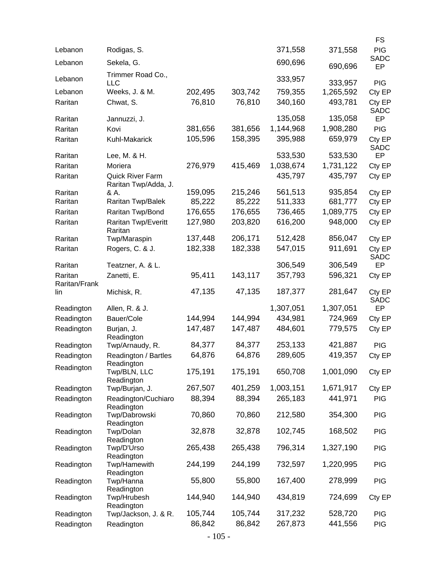| Lebanon       | Rodigas, S.                                     |         |         | 371,558   | 371,558   | <b>FS</b><br><b>PIG</b>  |
|---------------|-------------------------------------------------|---------|---------|-----------|-----------|--------------------------|
| Lebanon       | Sekela, G.                                      |         |         | 690,696   |           | <b>SADC</b>              |
|               | Trimmer Road Co.,                               |         |         |           | 690,696   | EP                       |
| Lebanon       | <b>LLC</b>                                      |         |         | 333,957   | 333,957   | <b>PIG</b>               |
| Lebanon       | Weeks, J. & M.                                  | 202,495 | 303,742 | 759,355   | 1,265,592 | Cty EP                   |
| Raritan       | Chwat, S.                                       | 76,810  | 76,810  | 340,160   | 493,781   | Cty EP<br><b>SADC</b>    |
| Raritan       | Jannuzzi, J.                                    |         |         | 135,058   | 135,058   | <b>EP</b>                |
| Raritan       | Kovi                                            | 381,656 | 381,656 | 1,144,968 | 1,908,280 | <b>PIG</b>               |
| Raritan       | Kuhl-Makarick                                   | 105,596 | 158,395 | 395,988   | 659,979   | Cty EP                   |
| Raritan       | Lee, M. & H.                                    |         |         | 533,530   | 533,530   | <b>SADC</b><br>EP        |
| Raritan       | Moriera                                         | 276,979 | 415,469 | 1,038,674 | 1,731,122 | Cty EP                   |
| Raritan       | <b>Quick River Farm</b><br>Raritan Twp/Adda, J. |         |         | 435,797   | 435,797   | Cty EP                   |
| Raritan       | & A.                                            | 159,095 | 215,246 | 561,513   | 935,854   | Cty EP                   |
| Raritan       | Raritan Twp/Balek                               | 85,222  | 85,222  | 511,333   | 681,777   | Cty EP                   |
| Raritan       | Raritan Twp/Bond                                | 176,655 | 176,655 | 736,465   | 1,089,775 | Cty EP                   |
| Raritan       | Raritan Twp/Everitt                             | 127,980 | 203,820 | 616,200   | 948,000   | Cty EP                   |
| Raritan       | Raritan<br>Twp/Maraspin                         | 137,448 | 206,171 | 512,428   | 856,047   | Cty EP                   |
| Raritan       | Rogers, C. & J.                                 | 182,338 | 182,338 | 547,015   | 911,691   | Cty EP                   |
| Raritan       | Teatzner, A. & L.                               |         |         | 306,549   | 306,549   | <b>SADC</b><br><b>EP</b> |
| Raritan       | Zanetti, E.                                     | 95,411  | 143,117 | 357,793   | 596,321   | Cty EP                   |
| Raritan/Frank |                                                 |         |         |           |           |                          |
| lin           | Michisk, R.                                     | 47,135  | 47,135  | 187,377   | 281,647   | Cty EP<br><b>SADC</b>    |
| Readington    | Allen, R. & J.                                  |         |         | 1,307,051 | 1,307,051 | EP                       |
| Readington    | Bauer/Cole                                      | 144,994 | 144,994 | 434,981   | 724,969   | Cty EP                   |
| Readington    | Burjan, J.<br>Readington                        | 147,487 | 147,487 | 484,601   | 779,575   | Cty EP                   |
| Readington    | Twp/Arnaudy, R.                                 | 84,377  | 84,377  | 253,133   | 421,887   | <b>PIG</b>               |
| Readington    | Readington / Bartles<br>Readington              | 64,876  | 64,876  | 289,605   | 419,357   | Cty EP                   |
| Readington    | Twp/BLN, LLC<br>Readington                      | 175,191 | 175,191 | 650,708   | 1,001,090 | Cty EP                   |
| Readington    | Twp/Burjan, J.                                  | 267,507 | 401,259 | 1,003,151 | 1,671,917 | Cty EP                   |
| Readington    | Readington/Cuchiaro                             | 88,394  | 88,394  | 265,183   | 441,971   | <b>PIG</b>               |
| Readington    | Readington<br>Twp/Dabrowski<br>Readington       | 70,860  | 70,860  | 212,580   | 354,300   | <b>PIG</b>               |
| Readington    | Twp/Dolan                                       | 32,878  | 32,878  | 102,745   | 168,502   | <b>PIG</b>               |
| Readington    | Readington<br>Twp/D'Urso                        | 265,438 | 265,438 | 796,314   | 1,327,190 | <b>PIG</b>               |
| Readington    | Readington<br>Twp/Hamewith                      | 244,199 | 244,199 | 732,597   | 1,220,995 | <b>PIG</b>               |
|               | Readington                                      | 55,800  | 55,800  | 167,400   | 278,999   |                          |
| Readington    | Twp/Hanna<br>Readington                         |         |         |           |           | <b>PIG</b>               |
| Readington    | Twp/Hrubesh<br>Readington                       | 144,940 | 144,940 | 434,819   | 724,699   | Cty EP                   |
| Readington    | Twp/Jackson, J. & R.                            | 105,744 | 105,744 | 317,232   | 528,720   | <b>PIG</b>               |
| Readington    | Readington                                      | 86,842  | 86,842  | 267,873   | 441,556   | <b>PIG</b>               |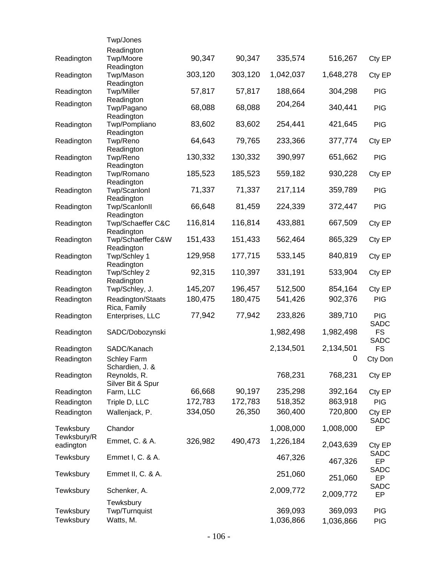|                          | Twp/Jones                                |         |         |           |             |                                         |
|--------------------------|------------------------------------------|---------|---------|-----------|-------------|-----------------------------------------|
|                          | Readington                               |         |         |           |             |                                         |
| Readington               | Twp/Moore                                | 90,347  | 90,347  | 335,574   | 516,267     | Cty EP                                  |
| Readington               | Readington<br>Twp/Mason<br>Readington    | 303,120 | 303,120 | 1,042,037 | 1,648,278   | Cty EP                                  |
| Readington               | <b>Twp/Miller</b>                        | 57,817  | 57,817  | 188,664   | 304,298     | <b>PIG</b>                              |
| Readington               | Readington<br>Twp/Pagano<br>Readington   | 68,088  | 68,088  | 204,264   | 340,441     | <b>PIG</b>                              |
| Readington               | Twp/Pompliano<br>Readington              | 83,602  | 83,602  | 254,441   | 421,645     | <b>PIG</b>                              |
| Readington               | Twp/Reno                                 | 64,643  | 79,765  | 233,366   | 377,774     | Cty EP                                  |
| Readington               | Readington<br>Twp/Reno<br>Readington     | 130,332 | 130,332 | 390,997   | 651,662     | <b>PIG</b>                              |
| Readington               | Twp/Romano                               | 185,523 | 185,523 | 559,182   | 930,228     | Cty EP                                  |
| Readington               | Readington<br>Twp/Scanlonl<br>Readington | 71,337  | 71,337  | 217,114   | 359,789     | <b>PIG</b>                              |
| Readington               | Twp/ScanlonII<br>Readington              | 66,648  | 81,459  | 224,339   | 372,447     | <b>PIG</b>                              |
| Readington               | Twp/Schaeffer C&C<br>Readington          | 116,814 | 116,814 | 433,881   | 667,509     | Cty EP                                  |
| Readington               | Twp/Schaeffer C&W<br>Readington          | 151,433 | 151,433 | 562,464   | 865,329     | Cty EP                                  |
| Readington               | Twp/Schley 1<br>Readington               | 129,958 | 177,715 | 533,145   | 840,819     | Cty EP                                  |
| Readington               | Twp/Schley 2<br>Readington               | 92,315  | 110,397 | 331,191   | 533,904     | Cty EP                                  |
| Readington               | Twp/Schley, J.                           | 145,207 | 196,457 | 512,500   | 854,164     | Cty EP                                  |
| Readington               | Readington/Staats<br>Rica, Family        | 180,475 | 180,475 | 541,426   | 902,376     | <b>PIG</b>                              |
| Readington               | Enterprises, LLC                         | 77,942  | 77,942  | 233,826   | 389,710     | <b>PIG</b>                              |
| Readington               | SADC/Dobozynski                          |         |         | 1,982,498 | 1,982,498   | <b>SADC</b><br><b>FS</b><br><b>SADC</b> |
| Readington               | SADC/Kanach                              |         |         | 2,134,501 | 2,134,501   | <b>FS</b>                               |
| Readington               | <b>Schley Farm</b><br>Schardien, J. &    |         |         |           | $\mathbf 0$ | Cty Don                                 |
| Readington               | Reynolds, R.<br>Silver Bit & Spur        |         |         | 768,231   | 768,231     | Cty EP                                  |
| Readington               | Farm, LLC                                | 66,668  | 90,197  | 235,298   | 392,164     | Cty EP                                  |
| Readington               | Triple D, LLC                            | 172,783 | 172,783 | 518,352   | 863,918     | <b>PIG</b>                              |
| Readington               | Wallenjack, P.                           | 334,050 | 26,350  | 360,400   | 720,800     | Cty EP<br><b>SADC</b>                   |
| Tewksbury                | Chandor                                  |         |         | 1,008,000 | 1,008,000   | EP                                      |
| Tewksbury/R<br>eadington | Emmet, C. & A.                           | 326,982 | 490,473 | 1,226,184 | 2,043,639   | Cty EP                                  |
| Tewksbury                | Emmet I, C. & A.                         |         |         | 467,326   | 467,326     | SADC<br><b>EP</b>                       |
| Tewksbury                | Emmet II, C. & A.                        |         |         | 251,060   | 251,060     | <b>SADC</b><br>EP                       |
| Tewksbury                | Schenker, A.                             |         |         | 2,009,772 | 2,009,772   | <b>SADC</b><br>EP                       |
| Tewksbury                | Tewksbury<br>Twp/Turnquist               |         |         | 369,093   | 369,093     | <b>PIG</b>                              |
| Tewksbury                | Watts, M.                                |         |         | 1,036,866 | 1,036,866   | <b>PIG</b>                              |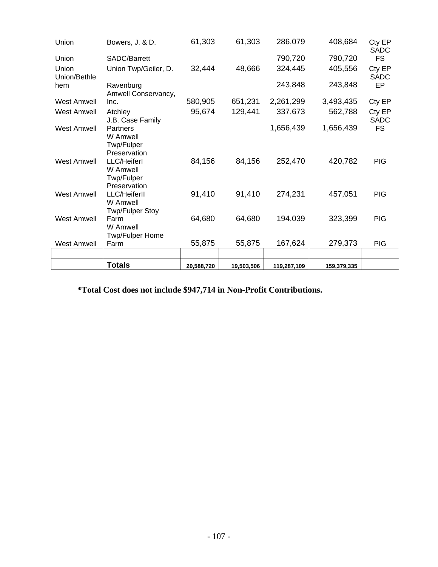| Union                 | Bowers, J. & D.                                                       | 61,303     | 61,303     | 286,079     | 408,684     | Cty EP<br>SADC        |
|-----------------------|-----------------------------------------------------------------------|------------|------------|-------------|-------------|-----------------------|
| Union                 | SADC/Barrett                                                          |            |            | 790,720     | 790,720     | <b>FS</b>             |
| Union<br>Union/Bethle | Union Twp/Geiler, D.                                                  | 32,444     | 48,666     | 324,445     | 405,556     | Cty EP<br><b>SADC</b> |
| hem                   | Ravenburg<br>Amwell Conservancy,                                      |            |            | 243,848     | 243,848     | EP                    |
| <b>West Amwell</b>    | Inc.                                                                  | 580,905    | 651,231    | 2,261,299   | 3,493,435   | Cty EP                |
| <b>West Amwell</b>    | Atchley<br>J.B. Case Family                                           | 95,674     | 129,441    | 337,673     | 562,788     | Cty EP<br><b>SADC</b> |
| <b>West Amwell</b>    | Partners<br>W Amwell<br>Twp/Fulper                                    |            |            | 1,656,439   | 1,656,439   | <b>FS</b>             |
| <b>West Amwell</b>    | Preservation<br>LLC/Heiferl<br>W Amwell<br>Twp/Fulper<br>Preservation | 84,156     | 84,156     | 252,470     | 420,782     | <b>PIG</b>            |
| <b>West Amwell</b>    | LLC/Heiferll<br>W Amwell<br><b>Twp/Fulper Stoy</b>                    | 91,410     | 91,410     | 274,231     | 457,051     | <b>PIG</b>            |
| <b>West Amwell</b>    | Farm<br>W Amwell<br>Twp/Fulper Home                                   | 64,680     | 64,680     | 194,039     | 323,399     | <b>PIG</b>            |
| <b>West Amwell</b>    | Farm                                                                  | 55,875     | 55,875     | 167,624     | 279,373     | PIG                   |
|                       |                                                                       |            |            |             |             |                       |
|                       | <b>Totals</b>                                                         | 20,588,720 | 19,503,506 | 119,287,109 | 159,379,335 |                       |

**\*Total Cost does not include \$947,714 in Non-Profit Contributions.**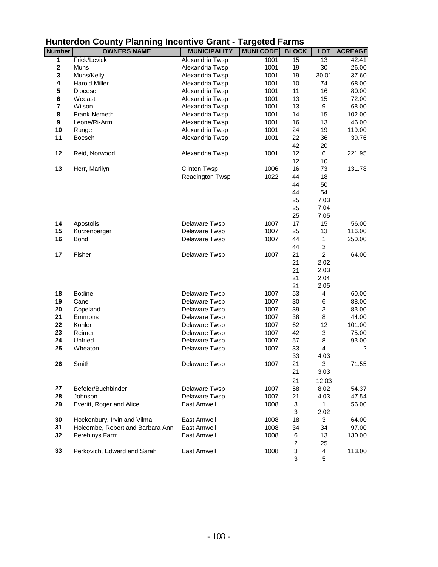|                |                                  |                     | ະ                |                  |                         |                |
|----------------|----------------------------------|---------------------|------------------|------------------|-------------------------|----------------|
| <b>Number</b>  | <b>OWNERS NAME</b>               | <b>MUNICIPALITY</b> | <b>MUNI CODE</b> | <b>BLOCK</b>     | <b>LOT</b>              | <b>ACREAGE</b> |
| 1              | Frick/Levick                     | Alexandria Twsp     | 1001             | 15               | 13                      | 42.41          |
| $\mathbf 2$    | Muhs                             | Alexandria Twsp     | 1001             | 19               | 30                      | 26.00          |
| 3              | Muhs/Kelly                       | Alexandria Twsp     | 1001             | 19               | 30.01                   | 37.60          |
| 4              | <b>Harold Miller</b>             | Alexandria Twsp     | 1001             | 10               | 74                      | 68.00          |
| 5              | <b>Diocese</b>                   | Alexandria Twsp     | 1001             | 11               | 16                      | 80.00          |
| 6              | Weeast                           | Alexandria Twsp     | 1001             | 13               | 15                      | 72.00          |
| $\overline{7}$ | Wilson                           | Alexandria Twsp     | 1001             | 13               | 9                       | 68.00          |
| 8              | <b>Frank Nemeth</b>              | Alexandria Twsp     | 1001             | 14               | 15                      | 102.00         |
| 9              | Leone/Ri-Arm                     | Alexandria Twsp     | 1001             | 16               | 13                      | 46.00          |
| 10             | Runge                            | Alexandria Twsp     | 1001             | 24               | 19                      | 119.00         |
| 11             | <b>Boesch</b>                    | Alexandria Twsp     | 1001             | 22               | 36                      | 39.76          |
|                |                                  |                     |                  | 42               | 20                      |                |
| 12             | Reid, Norwood                    | Alexandria Twsp     | 1001             | 12               | 6                       | 221.95         |
|                |                                  |                     |                  | 12               | 10                      |                |
| 13             | Herr, Marilyn                    | <b>Clinton Twsp</b> | 1006             | 16               | 73                      | 131.78         |
|                |                                  | Readington Twsp     | 1022             | 44               | 18                      |                |
|                |                                  |                     |                  | 44               | 50                      |                |
|                |                                  |                     |                  | 44               | 54                      |                |
|                |                                  |                     |                  | 25               | 7.03                    |                |
|                |                                  |                     |                  | 25               | 7.04                    |                |
|                |                                  |                     |                  | 25               | 7.05                    |                |
| 14             | Apostolis                        | Delaware Twsp       | 1007             | 17               | 15                      | 56.00          |
| 15             | Kurzenberger                     | Delaware Twsp       | 1007             | 25               | 13                      | 116.00         |
| 16             | <b>Bond</b>                      | Delaware Twsp       | 1007             | 44               | 1                       | 250.00         |
|                |                                  |                     |                  | 44               | 3                       |                |
| 17             | Fisher                           | Delaware Twsp       | 1007             | 21               | $\overline{2}$          | 64.00          |
|                |                                  |                     |                  | 21               | 2.02                    |                |
|                |                                  |                     |                  | 21               | 2.03                    |                |
|                |                                  |                     |                  | 21               | 2.04                    |                |
|                |                                  |                     |                  | 21               | 2.05                    |                |
| 18             | <b>Bodine</b>                    | Delaware Twsp       | 1007             | 53               | 4                       | 60.00          |
| 19             | Cane                             | Delaware Twsp       | 1007             | 30               | $\,6$                   | 88.00          |
| 20             | Copeland                         | Delaware Twsp       | 1007             | 39               | 3                       | 83.00          |
| 21             | Emmons                           | Delaware Twsp       | 1007             | 38               | 8                       | 44.00          |
| 22             | Kohler                           | Delaware Twsp       | 1007             | 62               | 12                      | 101.00         |
| 23             | Reimer                           | Delaware Twsp       | 1007             | 42               | 3                       | 75.00          |
| 24             | Unfried                          | Delaware Twsp       | 1007             | 57               | 8                       | 93.00          |
| 25             | Wheaton                          | Delaware Twsp       | 1007             | 33               | $\overline{\mathbf{4}}$ | ?              |
|                |                                  |                     |                  | 33               | 4.03                    |                |
| 26             | Smith                            | Delaware Twsp       | 1007             | 21               | 3                       | 71.55          |
|                |                                  |                     |                  | 21               | 3.03                    |                |
|                |                                  |                     |                  |                  |                         |                |
|                |                                  |                     |                  | 21               | 12.03                   |                |
| 27             | Befeler/Buchbinder               | Delaware Twsp       | 1007             | 58               | 8.02                    | 54.37          |
| 28             | Johnson                          | Delaware Twsp       | 1007             | 21               | 4.03                    | 47.54          |
| 29             | Everitt, Roger and Alice         | East Amwell         | 1008             | 3                | $\mathbf{1}$            | 56.00          |
|                |                                  |                     |                  | 3                | 2.02                    |                |
| 30             | Hockenbury, Irvin and Vilma      | <b>East Amwell</b>  | 1008             | 18               | 3                       | 64.00          |
| 31             | Holcombe, Robert and Barbara Ann | East Amwell         | 1008             | 34               | 34                      | 97.00          |
| 32             | Perehinys Farm                   | East Amwell         | 1008             | 6                | 13                      | 130.00         |
|                |                                  |                     |                  | $\boldsymbol{2}$ | 25                      |                |
| 33             | Perkovich, Edward and Sarah      | East Amwell         | 1008             | 3                | 4                       | 113.00         |
|                |                                  |                     |                  | 3                | 5                       |                |

## **Hunterdon County Planning Incentive Grant - Targeted Farms**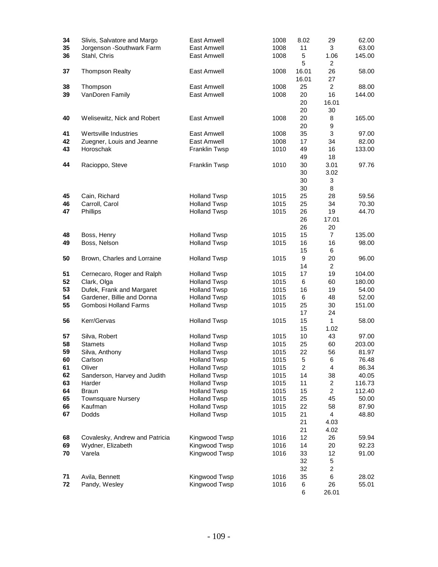| 34 | Slivis, Salvatore and Margo    | East Amwell         | 1008 | 8.02                    | 29                      | 62.00  |
|----|--------------------------------|---------------------|------|-------------------------|-------------------------|--------|
| 35 | Jorgenson - Southwark Farm     | <b>East Amwell</b>  | 1008 | 11                      | 3                       | 63.00  |
| 36 | Stahl, Chris                   | East Amwell         | 1008 | 5<br>5                  | 1.06<br>$\overline{c}$  | 145.00 |
| 37 | <b>Thompson Realty</b>         | <b>East Amwell</b>  | 1008 | 16.01                   | 26                      | 58.00  |
|    |                                |                     |      | 16.01                   | 27                      |        |
| 38 | Thompson                       | East Amwell         | 1008 | 25                      | $\overline{2}$          | 88.00  |
| 39 | VanDoren Family                | <b>East Amwell</b>  | 1008 | 20                      | 16                      | 144.00 |
|    |                                |                     |      | 20                      | 16.01                   |        |
|    |                                |                     |      | 20                      | 30                      |        |
| 40 | Welisewitz, Nick and Robert    | <b>East Amwell</b>  | 1008 | 20                      | 8                       | 165.00 |
|    |                                |                     |      | 20                      | 9                       |        |
| 41 | Wertsville Industries          | East Amwell         | 1008 | 35                      | 3                       | 97.00  |
| 42 | Zuegner, Louis and Jeanne      | East Amwell         | 1008 | 17                      | 34                      | 82.00  |
| 43 | Horoschak                      | Franklin Twsp       | 1010 | 49                      | 16                      | 133.00 |
|    |                                |                     |      | 49                      | 18                      |        |
| 44 | Racioppo, Steve                | Franklin Twsp       | 1010 | 30                      | 3.01                    | 97.76  |
|    |                                |                     |      | 30                      | 3.02                    |        |
|    |                                |                     |      | 30                      | 3                       |        |
|    |                                |                     |      | 30                      | 8                       |        |
| 45 | Cain, Richard                  | <b>Holland Twsp</b> | 1015 | 25                      | 28                      | 59.56  |
| 46 | Carroll, Carol                 | <b>Holland Twsp</b> | 1015 | 25                      | 34                      | 70.30  |
| 47 | Phillips                       | <b>Holland Twsp</b> | 1015 | 26                      | 19                      | 44.70  |
|    |                                |                     |      | 26                      | 17.01                   |        |
|    |                                |                     |      | 26                      | 20                      |        |
| 48 | Boss, Henry                    | <b>Holland Twsp</b> | 1015 | 15                      | $\overline{7}$          | 135.00 |
| 49 | Boss, Nelson                   | <b>Holland Twsp</b> | 1015 | 16                      | 16                      | 98.00  |
|    |                                |                     |      | 15                      | 6                       |        |
| 50 | Brown, Charles and Lorraine    | <b>Holland Twsp</b> | 1015 | 9                       | 20                      | 96.00  |
|    |                                |                     |      | 14                      | $\overline{2}$          |        |
| 51 | Cernecaro, Roger and Ralph     | <b>Holland Twsp</b> | 1015 | 17                      | 19                      | 104.00 |
| 52 | Clark, Olga                    | <b>Holland Twsp</b> | 1015 | 6                       | 60                      | 180.00 |
| 53 | Dufek, Frank and Margaret      | <b>Holland Twsp</b> | 1015 | 16                      | 19                      | 54.00  |
| 54 | Gardener, Billie and Donna     | <b>Holland Twsp</b> | 1015 | 6                       | 48                      | 52.00  |
| 55 | <b>Gombosi Holland Farms</b>   | <b>Holland Twsp</b> | 1015 | 25                      | 30                      | 151.00 |
|    |                                |                     |      | 17                      | 24                      |        |
| 56 | Kerr/Gervas                    | <b>Holland Twsp</b> | 1015 | 15                      | $\mathbf{1}$            | 58.00  |
|    |                                |                     |      | 15                      | 1.02                    |        |
| 57 | Silva, Robert                  | <b>Holland Twsp</b> | 1015 | 10                      | 43                      | 97.00  |
| 58 | <b>Stamets</b>                 | <b>Holland Twsp</b> | 1015 | 25                      | 60                      | 203.00 |
| 59 | Silva, Anthony                 | <b>Holland Twsp</b> | 1015 | 22                      | 56                      | 81.97  |
| 60 | Carlson                        | <b>Holland Twsp</b> | 1015 | 5                       | 6                       | 76.48  |
| 61 | Oliver                         | <b>Holland Twsp</b> | 1015 | $\overline{\mathbf{c}}$ | 4                       | 86.34  |
| 62 | Sanderson, Harvey and Judith   | <b>Holland Twsp</b> | 1015 | 14                      | 38                      | 40.05  |
| 63 | Harder                         | <b>Holland Twsp</b> | 1015 | 11                      | $\overline{2}$          | 116.73 |
| 64 | <b>Braun</b>                   | <b>Holland Twsp</b> | 1015 | 15                      | $\overline{c}$          | 112.40 |
| 65 | <b>Townsquare Nursery</b>      | <b>Holland Twsp</b> | 1015 | 25                      | 45                      | 50.00  |
| 66 | Kaufman                        | <b>Holland Twsp</b> | 1015 | 22                      | 58                      | 87.90  |
| 67 | Dodds                          | <b>Holland Twsp</b> | 1015 | 21                      | $\overline{\mathbf{4}}$ | 48.80  |
|    |                                |                     |      | 21                      | 4.03                    |        |
|    |                                |                     |      | 21                      | 4.02                    |        |
| 68 | Covalesky, Andrew and Patricia | Kingwood Twsp       | 1016 | 12                      | 26                      | 59.94  |
| 69 | Wydner, Elizabeth              | Kingwood Twsp       | 1016 | 14                      | 20                      | 92.23  |
| 70 | Varela                         | Kingwood Twsp       | 1016 | 33                      | 12                      | 91.00  |
|    |                                |                     |      | 32                      | 5                       |        |
|    |                                |                     |      | 32                      | $\overline{c}$          |        |
| 71 | Avila, Bennett                 | Kingwood Twsp       | 1016 | 35                      | 6                       | 28.02  |
| 72 | Pandy, Wesley                  | Kingwood Twsp       | 1016 | 6                       | 26                      | 55.01  |
|    |                                |                     |      | 6                       | 26.01                   |        |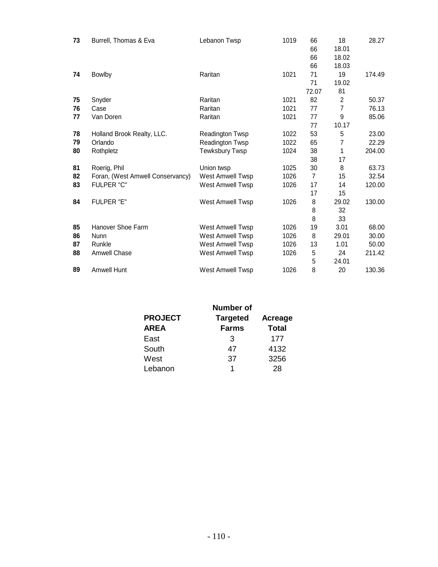| Burrell, Thomas & Eva            | Lebanon Twsp            | 1019 | 66<br>66<br>66 | 18<br>18.01<br>18.02 | 28.27  |
|----------------------------------|-------------------------|------|----------------|----------------------|--------|
|                                  | Raritan                 | 1021 | 71             | 19                   | 174.49 |
|                                  |                         |      | 71             | 19.02                |        |
|                                  |                         |      | 72.07          | 81                   |        |
| Snyder                           | Raritan                 | 1021 | 82             | $\overline{2}$       | 50.37  |
| Case                             | Raritan                 | 1021 | 77             | $\overline{7}$       | 76.13  |
| Van Doren                        | Raritan                 | 1021 | 77             | 9                    | 85.06  |
|                                  |                         |      | 77             | 10.17                |        |
| Holland Brook Realty, LLC.       | Readington Twsp         | 1022 | 53             | 5                    | 23.00  |
| Orlando                          | Readington Twsp         | 1022 | 65             | 7                    | 22.29  |
| Rothpletz                        | <b>Tewksbury Twsp</b>   | 1024 | 38             | 1                    | 204.00 |
|                                  |                         |      | 38             | 17                   |        |
| Roerig, Phil                     | Union twsp              | 1025 | 30             | 8                    | 63.73  |
| Foran, (West Amwell Conservancy) | West Amwell Twsp        | 1026 | 7              | 15                   | 32.54  |
| <b>FULPER "C"</b>                | <b>West Amwell Twsp</b> | 1026 | 17             | 14                   | 120.00 |
|                                  |                         |      | 17             | 15                   |        |
| FULPER "E"                       | West Amwell Twsp        | 1026 | 8              | 29.02                | 130.00 |
|                                  |                         |      | 8              | 32                   |        |
|                                  |                         |      | 8              | 33                   |        |
| Hanover Shoe Farm                | West Amwell Twsp        | 1026 | 19             | 3.01                 | 68.00  |
| <b>Nunn</b>                      | <b>West Amwell Twsp</b> | 1026 | 8              | 29.01                | 30.00  |
| Runkle                           | West Amwell Twsp        | 1026 | 13             | 1.01                 | 50.00  |
| Amwell Chase                     | West Amwell Twsp        | 1026 | 5              | 24                   | 211.42 |
|                                  |                         |      | 5              | 24.01                |        |
| <b>Amwell Hunt</b>               | West Amwell Twsp        | 1026 | 8              | 20                   | 130.36 |
|                                  | Bowlby                  |      |                | 66                   | 18.03  |

|                | <b>Number of</b> |                |
|----------------|------------------|----------------|
| <b>PROJECT</b> | <b>Targeted</b>  | <b>Acreage</b> |
| <b>AREA</b>    | <b>Farms</b>     | <b>Total</b>   |
| East           | 3                | 177            |
| South          | 47               | 4132           |
| West           | 37               | 3256           |
| Lebanon        | 1                | 28             |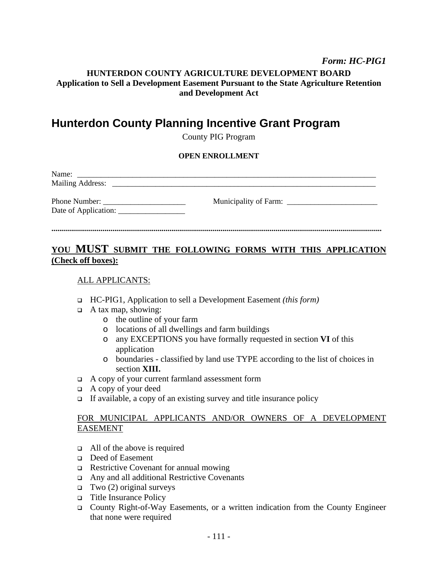#### *Form: HC-PIG1*

## **HUNTERDON COUNTY AGRICULTURE DEVELOPMENT BOARD Application to Sell a Development Easement Pursuant to the State Agriculture Retention and Development Act**

## **Hunterdon County Planning Incentive Grant Program**

County PIG Program

#### **OPEN ENROLLMENT**

| Name:<br><b>Mailing Address:</b> |  |
|----------------------------------|--|
|                                  |  |

## **........................................................................................................................................................................**

## **YOU MUST SUBMIT THE FOLLOWING FORMS WITH THIS APPLICATION (Check off boxes):**

#### ALL APPLICANTS:

- HC-PIG1, Application to sell a Development Easement *(this form)*
- $\Box$  A tax map, showing:
	- o the outline of your farm
	- o locations of all dwellings and farm buildings
	- o any EXCEPTIONS you have formally requested in section **VI** of this application
	- o boundaries classified by land use TYPE according to the list of choices in section **XIII.**
- A copy of your current farmland assessment form
- $\Box$  A copy of your deed
- If available, a copy of an existing survey and title insurance policy

#### FOR MUNICIPAL APPLICANTS AND/OR OWNERS OF A DEVELOPMENT EASEMENT

- $\Box$  All of the above is required
- Deed of Easement
- Restrictive Covenant for annual mowing
- Any and all additional Restrictive Covenants
- $\Box$  Two (2) original surveys
- □ Title Insurance Policy
- □ County Right-of-Way Easements, or a written indication from the County Engineer that none were required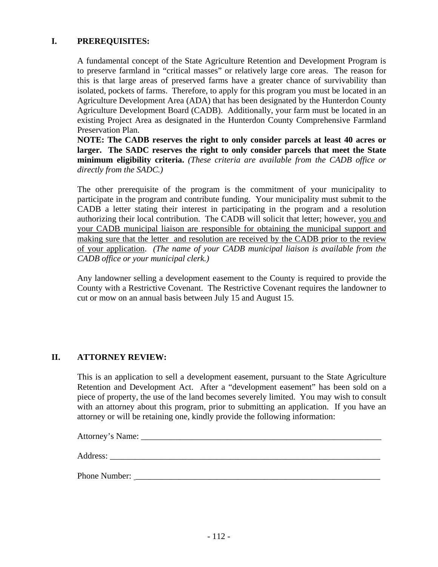## **I. PREREQUISITES:**

A fundamental concept of the State Agriculture Retention and Development Program is to preserve farmland in "critical masses" or relatively large core areas. The reason for this is that large areas of preserved farms have a greater chance of survivability than isolated, pockets of farms. Therefore, to apply for this program you must be located in an Agriculture Development Area (ADA) that has been designated by the Hunterdon County Agriculture Development Board (CADB). Additionally, your farm must be located in an existing Project Area as designated in the Hunterdon County Comprehensive Farmland Preservation Plan.

**NOTE: The CADB reserves the right to only consider parcels at least 40 acres or larger. The SADC reserves the right to only consider parcels that meet the State minimum eligibility criteria.** *(These criteria are available from the CADB office or directly from the SADC.)* 

The other prerequisite of the program is the commitment of your municipality to participate in the program and contribute funding. Your municipality must submit to the CADB a letter stating their interest in participating in the program and a resolution authorizing their local contribution. The CADB will solicit that letter; however, you and your CADB municipal liaison are responsible for obtaining the municipal support and making sure that the letter and resolution are received by the CADB prior to the review of your application. *(The name of your CADB municipal liaison is available from the CADB office or your municipal clerk.)*

Any landowner selling a development easement to the County is required to provide the County with a Restrictive Covenant. The Restrictive Covenant requires the landowner to cut or mow on an annual basis between July 15 and August 15.

#### **II. ATTORNEY REVIEW:**

This is an application to sell a development easement, pursuant to the State Agriculture Retention and Development Act. After a "development easement" has been sold on a piece of property, the use of the land becomes severely limited. You may wish to consult with an attorney about this program, prior to submitting an application. If you have an attorney or will be retaining one, kindly provide the following information:

Attorney's Name: \_\_\_\_\_\_\_\_\_\_\_\_\_\_\_\_\_\_\_\_\_\_\_\_\_\_\_\_\_\_\_\_\_\_\_\_\_\_\_\_\_\_\_\_\_\_\_\_\_\_\_\_\_\_\_\_ Address: \_\_\_\_\_\_\_\_\_\_\_\_\_\_\_\_\_\_\_\_\_\_\_\_\_\_\_\_\_\_\_\_\_\_\_\_\_\_\_\_\_\_\_\_\_\_\_\_\_\_\_\_\_\_\_\_\_\_\_\_\_\_\_

Phone Number: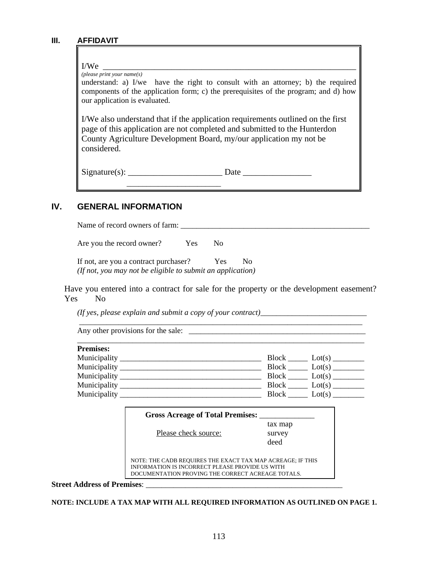#### **III. AFFIDAVIT**

## I/We \_\_\_\_\_\_\_\_\_\_\_\_\_\_\_\_\_\_\_\_\_\_\_\_\_\_\_\_\_\_\_\_\_\_\_\_\_\_\_\_\_\_\_\_\_\_\_\_\_\_\_\_\_\_\_\_\_\_\_ *(please print your name(s)* understand: a) I/we have the right to consult with an attorney; b) the required components of the application form; c) the prerequisites of the program; and d) how our application is evaluated. I/We also understand that if the application requirements outlined on the first page of this application are not completed and submitted to the Hunterdon County Agriculture Development Board, my/our application my not be considered.  $Signature(s): \_\_\_\_\_\_\_\_\_\_\_\_\_$  $\frac{1}{\sqrt{2}}$  ,  $\frac{1}{\sqrt{2}}$  ,  $\frac{1}{\sqrt{2}}$  ,  $\frac{1}{\sqrt{2}}$  ,  $\frac{1}{\sqrt{2}}$  ,  $\frac{1}{\sqrt{2}}$  ,  $\frac{1}{\sqrt{2}}$  ,  $\frac{1}{\sqrt{2}}$  ,  $\frac{1}{\sqrt{2}}$  ,  $\frac{1}{\sqrt{2}}$  ,  $\frac{1}{\sqrt{2}}$  ,  $\frac{1}{\sqrt{2}}$  ,  $\frac{1}{\sqrt{2}}$  ,  $\frac{1}{\sqrt{2}}$  ,  $\frac{1}{\sqrt{2}}$

## **IV. GENERAL INFORMATION**

Name of record owners of farm: \_\_\_\_\_\_\_\_\_\_\_\_\_\_\_\_\_\_\_\_\_\_\_\_\_\_\_\_\_\_\_\_\_\_\_\_\_\_\_\_\_\_\_\_\_\_\_\_

Are you the record owner? Yes No

If not, are you a contract purchaser? Yes No *(If not, you may not be eligible to submit an application)*

Have you entered into a contract for sale for the property or the development easement? Yes No

\_\_\_\_\_\_\_\_\_\_\_\_\_\_\_\_\_\_\_\_\_\_\_\_\_\_\_\_\_\_\_\_\_\_\_\_\_\_\_\_\_\_\_\_\_\_\_\_\_\_\_\_\_\_\_\_\_\_\_\_\_\_\_\_\_\_\_\_\_\_\_\_

\_\_\_\_\_\_\_\_\_\_\_\_\_\_\_\_\_\_\_\_\_\_\_\_\_\_\_\_\_\_\_\_\_\_\_\_\_\_\_\_\_\_\_\_\_\_\_\_\_\_\_\_\_\_\_\_\_\_\_\_\_\_\_\_\_\_\_\_\_\_\_\_\_

*(If yes, please explain and submit a copy of your contract)*\_\_\_\_\_\_\_\_\_\_\_\_\_\_\_\_\_\_\_\_\_\_\_\_\_\_\_

Any other provisions for the sale: \_\_\_\_\_\_\_\_\_\_\_\_\_\_\_\_\_\_\_\_\_\_\_\_\_\_\_\_\_\_\_\_\_\_\_\_\_\_\_\_\_\_\_\_\_

| <b>Premises:</b>                                     |                        |
|------------------------------------------------------|------------------------|
| Municipality                                         | <b>Block</b>           |
| <u> 1980 - Andrea Andrews, Amerikaansk politik (</u> | Lot(s)                 |
|                                                      | <b>Block</b><br>Lot(s) |
| Municipality                                         | Block                  |
|                                                      | Lot(s)                 |
| Municipality                                         | <b>Block</b>           |
|                                                      | Lot(s)                 |
| Municipality                                         | <b>Block</b><br>Lot(s) |

| <b>Gross Acreage of Total Premises:</b>                                                                                                                            |                           |
|--------------------------------------------------------------------------------------------------------------------------------------------------------------------|---------------------------|
| Please check source:                                                                                                                                               | tax map<br>survey<br>deed |
| NOTE: THE CADB REQUIRES THE EXACT TAX MAP ACREAGE; IF THIS<br>INFORMATION IS INCORRECT PLEASE PROVIDE US WITH<br>DOCUMENTATION PROVING THE CORRECT ACREAGE TOTALS. |                           |

**Street Address of Premises**: \_\_\_\_\_\_\_\_\_\_\_\_\_\_\_\_\_\_\_\_\_\_\_\_\_\_\_\_\_\_\_\_\_\_\_\_\_\_\_\_\_\_\_\_\_\_\_\_\_\_

**NOTE: INCLUDE A TAX MAP WITH ALL REQUIRED INFORMATION AS OUTLINED ON PAGE 1.**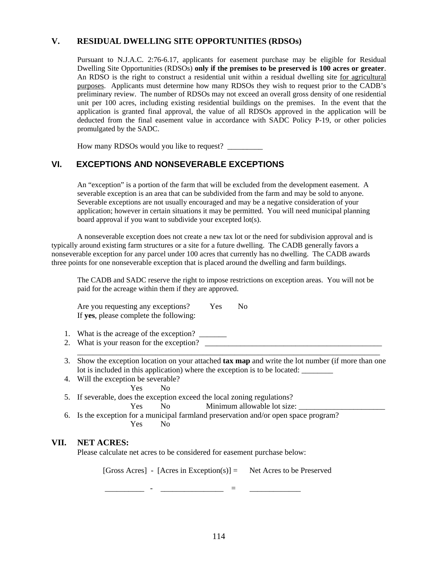#### **V. RESIDUAL DWELLING SITE OPPORTUNITIES (RDSOs)**

Pursuant to N.J.A.C. 2:76-6.17, applicants for easement purchase may be eligible for Residual Dwelling Site Opportunities (RDSOs) **only if the premises to be preserved is 100 acres or greater**. An RDSO is the right to construct a residential unit within a residual dwelling site for agricultural purposes. Applicants must determine how many RDSOs they wish to request prior to the CADB's preliminary review. The number of RDSOs may not exceed an overall gross density of one residential unit per 100 acres, including existing residential buildings on the premises. In the event that the application is granted final approval, the value of all RDSOs approved in the application will be deducted from the final easement value in accordance with SADC Policy P-19, or other policies promulgated by the SADC.

How many RDSOs would you like to request? \_\_\_\_\_\_\_\_\_

## **VI. EXCEPTIONS AND NONSEVERABLE EXCEPTIONS**

An "exception" is a portion of the farm that will be excluded from the development easement. A severable exception is an area that can be subdivided from the farm and may be sold to anyone. Severable exceptions are not usually encouraged and may be a negative consideration of your application; however in certain situations it may be permitted. You will need municipal planning board approval if you want to subdivide your excepted lot(s).

A nonseverable exception does not create a new tax lot or the need for subdivision approval and is typically around existing farm structures or a site for a future dwelling. The CADB generally favors a nonseverable exception for any parcel under 100 acres that currently has no dwelling. The CADB awards three points for one nonseverable exception that is placed around the dwelling and farm buildings.

The CADB and SADC reserve the right to impose restrictions on exception areas. You will not be paid for the acreage within them if they are approved.

Are you requesting any exceptions? Yes No If **yes**, please complete the following:

1. What is the acreage of the exception?

\_\_\_\_\_\_\_\_\_\_\_\_\_\_\_\_\_\_\_\_\_\_\_\_\_\_\_\_\_\_\_\_\_\_\_\_\_\_\_\_\_\_\_\_\_\_\_\_\_\_\_\_\_\_\_\_\_\_\_\_\_\_\_\_\_\_\_\_\_\_\_\_\_\_\_\_\_

- 2. What is your reason for the exception?
- 3. Show the exception location on your attached **tax map** and write the lot number (if more than one lot is included in this application) where the exception is to be located:
- 4. Will the exception be severable?
	- Yes No
- 5. If severable, does the exception exceed the local zoning regulations?

Yes No Minimum allowable lot size:

6. Is the exception for a municipal farmland preservation and/or open space program? Yes No

#### **VII. NET ACRES:**

Please calculate net acres to be considered for easement purchase below:

[Gross Acres] - [Acres in Exception(s)] = Net Acres to be Preserved

\_\_\_\_\_\_\_\_\_\_ - \_\_\_\_\_\_\_\_\_\_\_\_\_\_\_\_ = \_\_\_\_\_\_\_\_\_\_\_\_\_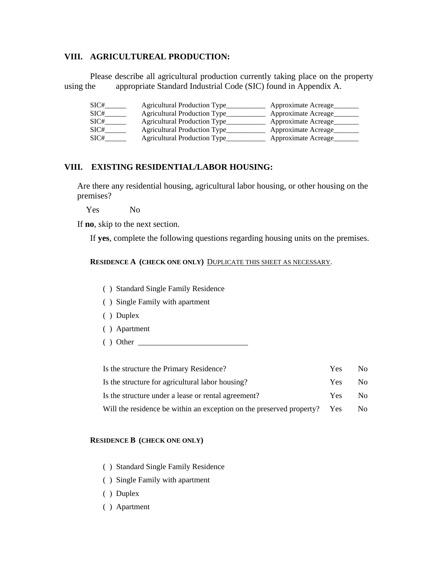#### **VIII. AGRICULTUREAL PRODUCTION:**

Please describe all agricultural production currently taking place on the property using the appropriate Standard Industrial Code (SIC) found in Appendix A.

| SIC# | Agricultural Production Type________ | Approximate Acreage  |
|------|--------------------------------------|----------------------|
| SIC# | Agricultural Production Type         | Approximate Acreage  |
| SIC# | Agricultural Production Type         | Approximate Acreage  |
| SIC# | Agricultural Production Type_        | Approximate Acreage  |
| SIC# | <b>Agricultural Production Type</b>  | Approximate Acreage_ |

#### **VIII. EXISTING RESIDENTIAL/LABOR HOUSING:**

Are there any residential housing, agricultural labor housing, or other housing on the premises?

Yes No

If **no**, skip to the next section.

If **yes**, complete the following questions regarding housing units on the premises.

**RESIDENCE A (CHECK ONE ONLY)** DUPLICATE THIS SHEET AS NECESSARY.

- ( ) Standard Single Family Residence
- ( ) Single Family with apartment
- ( ) Duplex
- ( ) Apartment
- ( ) Other \_\_\_\_\_\_\_\_\_\_\_\_\_\_\_\_\_\_\_\_\_\_\_\_\_\_\_\_

| Is the structure the Primary Residence?                              | Yes.       | No. |
|----------------------------------------------------------------------|------------|-----|
| Is the structure for agricultural labor housing?                     | Yes.       | No. |
| Is the structure under a lease or rental agreement?                  | Yes.       | No. |
| Will the residence be within an exception on the preserved property? | <b>Yes</b> | No. |

#### **RESIDENCE B (CHECK ONE ONLY)**

- ( ) Standard Single Family Residence
- ( ) Single Family with apartment
- ( ) Duplex
- ( ) Apartment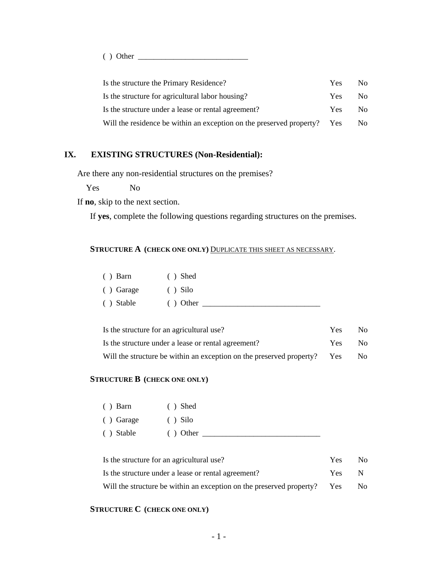( ) Other \_\_\_\_\_\_\_\_\_\_\_\_\_\_\_\_\_\_\_\_\_\_\_\_\_\_\_\_

| Is the structure the Primary Residence?                              | <b>Yes</b> | No. |
|----------------------------------------------------------------------|------------|-----|
| Is the structure for agricultural labor housing?                     | <b>Yes</b> | No. |
| Is the structure under a lease or rental agreement?                  | Yes.       | No. |
| Will the residence be within an exception on the preserved property? | Yes        | No. |

## **IX. EXISTING STRUCTURES (Non-Residential):**

Are there any non-residential structures on the premises?

Yes No

If **no**, skip to the next section.

If **yes**, complete the following questions regarding structures on the premises.

#### **STRUCTURE A (CHECK ONE ONLY)** DUPLICATE THIS SHEET AS NECESSARY.

| $()$ Barn  | $()$ Shed  |
|------------|------------|
| ( ) Garage | $()$ Silo  |
| ( ) Stable | $()$ Other |

| Is the structure for an agricultural use?                                | <b>Yes</b> | No.  |
|--------------------------------------------------------------------------|------------|------|
| Is the structure under a lease or rental agreement?                      | Yes        | - No |
| Will the structure be within an exception on the preserved property? Yes |            | No.  |

#### **STRUCTURE B (CHECK ONE ONLY)**

| $()$ Barn  | $()$ Shed  |
|------------|------------|
| ( ) Garage | $()$ Silo  |
| ( ) Stable | $()$ Other |

| Is the structure for an agricultural use?                            | Yes.       | No. |
|----------------------------------------------------------------------|------------|-----|
| Is the structure under a lease or rental agreement?                  | Yes        | N   |
| Will the structure be within an exception on the preserved property? | <b>Yes</b> | No. |

#### **STRUCTURE C (CHECK ONE ONLY)**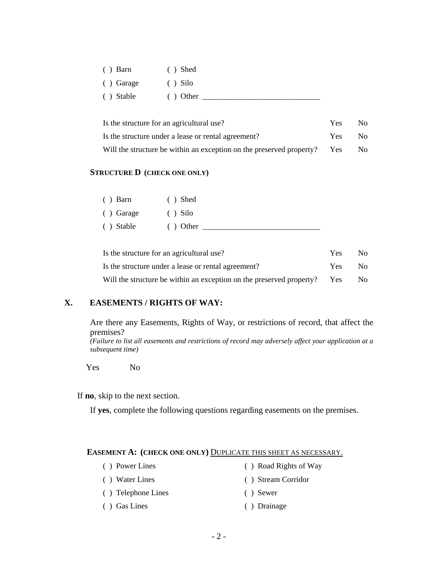| $()$ Barn  | $()$ Shed  |
|------------|------------|
| ( ) Garage | $()$ Silo  |
| () Stable  | $()$ Other |

| Is the structure for an agricultural use?                                | Yes. | No. |
|--------------------------------------------------------------------------|------|-----|
| Is the structure under a lease or rental agreement?                      | Yes  | No. |
| Will the structure be within an exception on the preserved property? Yes |      | No. |

#### **STRUCTURE D (CHECK ONE ONLY)**

| $()$ Barn  | $()$ Shed  |
|------------|------------|
| ( ) Garage | $()$ Silo  |
| ( ) Stable | $()$ Other |

| Is the structure for an agricultural use?                                | Yes. | No. |
|--------------------------------------------------------------------------|------|-----|
| Is the structure under a lease or rental agreement?                      | Yes. | No. |
| Will the structure be within an exception on the preserved property? Yes |      | No. |

## **X. EASEMENTS / RIGHTS OF WAY:**

Are there any Easements, Rights of Way, or restrictions of record, that affect the premises?

*(Failure to list all easements and restrictions of record may adversely affect your application at a subsequent time)* 

Yes No

If **no**, skip to the next section.

If **yes**, complete the following questions regarding easements on the premises.

#### **EASEMENT A: (CHECK ONE ONLY)** DUPLICATE THIS SHEET AS NECESSARY.

- ( ) Power Lines ( ) Road Rights of Way ( ) Water Lines ( ) Stream Corridor ( ) Telephone Lines ( ) Sewer
- ( ) Gas Lines ( ) Drainage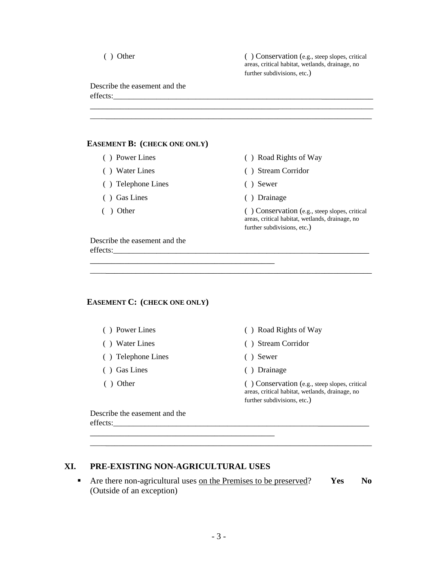|  | Other |
|--|-------|
|  |       |

 $( )$  Conservation (e.g., steep slopes, critical areas, critical habitat, wetlands, drainage, no further subdivisions, etc.)

Describe the easement and the effects:

| <b>EASEMENT B: (CHECK ONE ONLY)</b> |                                                                                                                                    |
|-------------------------------------|------------------------------------------------------------------------------------------------------------------------------------|
| () Power Lines                      | () Road Rights of Way                                                                                                              |
| () Water Lines                      | <b>Stream Corridor</b>                                                                                                             |
| Telephone Lines                     | Sewer                                                                                                                              |
| Gas Lines                           | Drainage                                                                                                                           |
| Other                               | $( )$ Conservation (e.g., steep slopes, critical<br>areas, critical habitat, wetlands, drainage, no<br>further subdivisions, etc.) |

\_\_\_\_\_\_\_\_\_\_\_\_\_\_\_\_\_\_\_\_\_\_\_\_\_\_\_\_\_\_\_\_\_\_\_\_\_\_\_\_\_\_\_\_\_\_\_\_\_\_\_\_\_\_\_\_\_\_\_\_\_\_\_\_\_\_

\_\_\_\_\_\_\_\_\_\_\_\_\_\_\_\_\_\_\_\_\_\_\_\_\_\_\_\_\_\_\_\_\_\_\_\_\_\_\_\_\_\_\_\_\_\_\_\_\_\_\_\_\_\_\_\_\_\_\_\_\_\_\_\_\_\_\_\_ \_\_\_\_\_\_\_\_\_\_\_\_\_\_\_\_\_\_\_\_\_\_\_\_\_\_\_\_\_\_\_\_\_\_\_\_\_\_\_\_\_\_\_\_\_\_\_\_\_\_\_\_\_\_\_\_\_\_\_\_\_\_\_\_\_\_

effects:\_\_\_\_\_\_\_\_\_\_\_\_\_\_\_\_\_\_\_\_\_\_\_\_\_\_\_\_\_\_\_\_\_\_\_\_\_\_\_\_\_\_\_\_\_\_\_\_\_\_\_\_\_\_\_\_\_\_\_\_\_\_\_\_

#### **EASEMENT C: (CHECK ONE ONLY)**

\_\_\_\_\_\_\_\_\_\_\_\_\_\_\_\_\_\_\_\_\_\_\_\_\_\_\_\_\_\_\_\_\_\_\_\_\_\_\_\_\_\_\_

- 
- 
- ( ) Telephone Lines ( ) Sewer
- ( ) Gas Lines ( ) Drainage
- 
- ( ) Power Lines ( ) Road Rights of Way
- ( ) Water Lines ( ) Stream Corridor
	-
	-

( ) Other ( ) Conservation (e.g., steep slopes, critical areas, critical habitat, wetlands, drainage, no further subdivisions, etc.)

Describe the easement and the effects:\_\_\_\_\_\_\_\_\_\_\_\_\_\_\_\_\_\_\_\_\_\_\_\_\_\_\_\_\_\_\_\_\_\_\_\_\_\_\_\_\_\_\_\_\_\_\_\_\_\_\_\_\_\_\_\_\_\_\_\_\_\_\_\_

## **XI. PRE-EXISTING NON-AGRICULTURAL USES**

\_\_\_\_\_\_\_\_\_\_\_\_\_\_\_\_\_\_\_\_\_\_\_\_\_\_\_\_\_\_\_\_\_\_\_\_\_\_\_\_\_\_\_

■ Are there non-agricultural uses on the Premises to be preserved? **Yes** No (Outside of an exception)

\_\_\_\_\_\_\_\_\_\_\_\_\_\_\_\_\_\_\_\_\_\_\_\_\_\_\_\_\_\_\_\_\_\_\_\_\_\_\_\_\_\_\_\_\_\_\_\_\_\_\_\_\_\_\_\_\_\_\_\_\_\_\_\_\_\_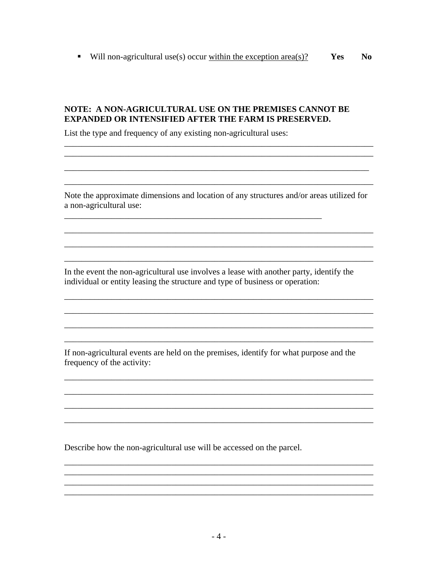• Will non-agricultural use(s) occur within the exception area(s)? Yes  $\mathbf{N}\mathbf{0}$ 

#### NOTE: A NON-AGRICULTURAL USE ON THE PREMISES CANNOT BE **EXPANDED OR INTENSIFIED AFTER THE FARM IS PRESERVED.**

List the type and frequency of any existing non-agricultural uses:

Note the approximate dimensions and location of any structures and/or areas utilized for a non-agricultural use:

<u> 1989 - Johann John Stoff, deutscher Stoff als der Stoff als der Stoff als der Stoff als der Stoff als der Stoff</u>

<u> 1989 - Johann Barn, mars ann an t-Amhainn an t-Amhainn an t-Amhainn an t-Amhainn an t-Amhainn an t-Amhainn a</u>

In the event the non-agricultural use involves a lease with another party, identify the individual or entity leasing the structure and type of business or operation:

<u> 1989 - 1989 - 1989 - 1989 - 1989 - 1989 - 1989 - 1989 - 1989 - 1989 - 1989 - 1989 - 1989 - 1989 - 1989 - 19</u>

If non-agricultural events are held on the premises, identify for what purpose and the frequency of the activity:

Describe how the non-agricultural use will be accessed on the parcel.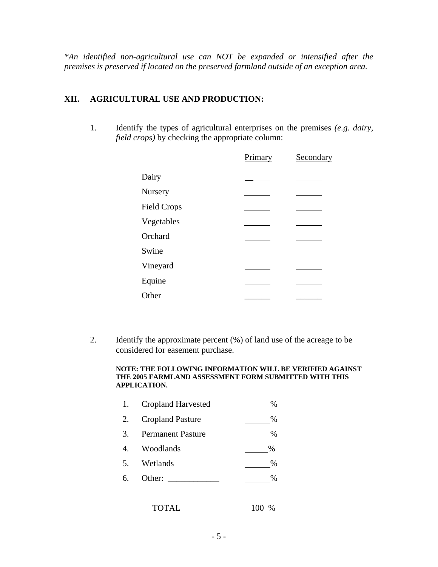*\*An identified non-agricultural use can NOT be expanded or intensified after the premises is preserved if located on the preserved farmland outside of an exception area.* 

### **XII. AGRICULTURAL USE AND PRODUCTION:**

1. Identify the types of agricultural enterprises on the premises *(e.g. dairy, field crops)* by checking the appropriate column:

|                    | Primary | Secondary |
|--------------------|---------|-----------|
| Dairy              |         |           |
| <b>Nursery</b>     |         |           |
| <b>Field Crops</b> |         |           |
| Vegetables         |         |           |
| Orchard            |         |           |
| Swine              |         |           |
| Vineyard           |         |           |
| Equine             |         |           |
| Other              |         |           |

2. Identify the approximate percent (%) of land use of the acreage to be considered for easement purchase.

#### **NOTE: THE FOLLOWING INFORMATION WILL BE VERIFIED AGAINST THE 2005 FARMLAND ASSESSMENT FORM SUBMITTED WITH THIS APPLICATION.**

| 1. | <b>Cropland Harvested</b> | %        |
|----|---------------------------|----------|
| 2. | <b>Cropland Pasture</b>   | $\%$     |
| 3. | <b>Permanent Pasture</b>  | $\%$     |
|    | 4. Woodlands              | $\%$     |
| 5. | Wetlands                  | %        |
| 6. | Other: $\_\_$             | $\%$     |
|    |                           |          |
|    | TOTAL                     | %<br>100 |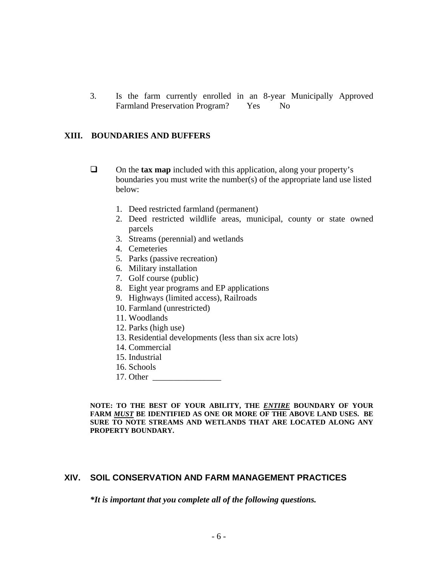3. Is the farm currently enrolled in an 8-year Municipally Approved Farmland Preservation Program? Yes No

#### **XIII. BOUNDARIES AND BUFFERS**

- On the **tax map** included with this application, along your property's boundaries you must write the number(s) of the appropriate land use listed below:
	- 1. Deed restricted farmland (permanent)
	- 2. Deed restricted wildlife areas, municipal, county or state owned parcels
	- 3. Streams (perennial) and wetlands
	- 4. Cemeteries
	- 5. Parks (passive recreation)
	- 6. Military installation
	- 7. Golf course (public)
	- 8. Eight year programs and EP applications
	- 9. Highways (limited access), Railroads
	- 10. Farmland (unrestricted)
	- 11. Woodlands
	- 12. Parks (high use)
	- 13. Residential developments (less than six acre lots)
	- 14. Commercial
	- 15. Industrial
	- 16. Schools
	- 17. Other \_\_\_\_\_\_\_\_\_\_\_\_\_\_\_\_

**NOTE: TO THE BEST OF YOUR ABILITY, THE** *ENTIRE* **BOUNDARY OF YOUR FARM** *MUST* **BE IDENTIFIED AS ONE OR MORE OF THE ABOVE LAND USES. BE SURE TO NOTE STREAMS AND WETLANDS THAT ARE LOCATED ALONG ANY PROPERTY BOUNDARY.** 

## **XIV. SOIL CONSERVATION AND FARM MANAGEMENT PRACTICES**

*\*It is important that you complete all of the following questions.*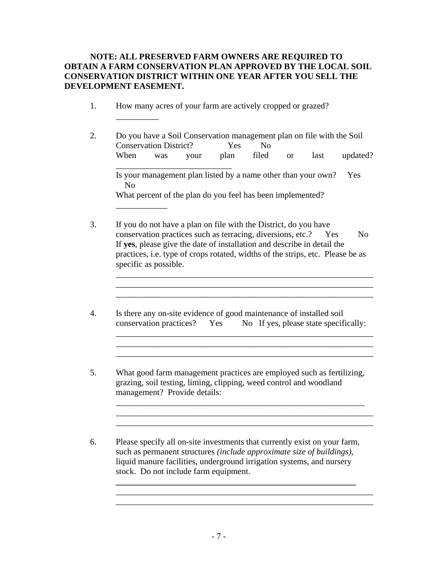### **NOTE: ALL PRESERVED FARM OWNERS ARE REQUIRED TO OBTAIN A FARM CONSERVATION PLAN APPROVED BY THE LOCAL SOIL CONSERVATION DISTRICT WITHIN ONE YEAR AFTER YOU SELL THE DEVELOPMENT EASEMENT.**

1. How many acres of your farm are actively cropped or grazed?

\_\_\_\_\_\_\_\_\_\_

\_\_\_\_\_\_\_\_\_\_\_\_

- 2. Do you have a Soil Conservation management plan on file with the Soil Conservation District? Yes No When was your plan filed or last updated? \_\_\_\_\_\_\_\_\_\_\_\_\_\_\_\_\_\_\_\_\_\_\_\_\_\_\_ Is your management plan listed by a name other than your own? Yes No What percent of the plan do you feel has been implemented?
- 3. If you do not have a plan on file with the District, do you have conservation practices such as terracing, diversions, etc.? Yes No If **yes**, please give the date of installation and describe in detail the practices, i.e. type of crops rotated, widths of the strips, etc. Please be as specific as possible.

\_\_\_\_\_\_\_\_\_\_\_\_\_\_\_\_\_\_\_\_\_\_\_\_\_\_\_\_\_\_\_\_\_\_\_\_\_\_\_\_\_\_\_\_\_\_\_\_\_\_\_\_\_\_\_\_\_\_\_\_ \_\_\_\_\_\_\_\_\_\_\_\_\_\_\_\_\_\_\_\_\_\_\_\_\_\_\_\_\_\_\_\_\_\_\_\_\_\_\_\_\_\_\_\_\_\_\_\_\_\_\_\_\_\_\_\_\_\_\_\_ \_\_\_\_\_\_\_\_\_\_\_\_\_\_\_\_\_\_\_\_\_\_\_\_\_\_\_\_\_\_\_\_\_\_\_\_\_\_\_\_\_\_\_\_\_\_\_\_\_\_\_\_\_\_\_\_\_\_\_\_

\_\_\_\_\_\_\_\_\_\_\_\_\_\_\_\_\_\_\_\_\_\_\_\_\_\_\_\_\_\_\_\_\_\_\_\_\_\_\_\_\_\_\_\_\_\_\_\_\_\_\_\_\_\_\_\_\_\_\_\_ \_\_\_\_\_\_\_\_\_\_\_\_\_\_\_\_\_\_\_\_\_\_\_\_\_\_\_\_\_\_\_\_\_\_\_\_\_\_\_\_\_\_\_\_\_\_\_\_\_\_\_\_\_\_\_\_\_\_\_\_ \_\_\_\_\_\_\_\_\_\_\_\_\_\_\_\_\_\_\_\_\_\_\_\_\_\_\_\_\_\_\_\_\_\_\_\_\_\_\_\_\_\_\_\_\_\_\_\_\_\_\_\_\_\_\_\_\_\_\_\_

- 4. Is there any on-site evidence of good maintenance of installed soil conservation practices? Yes No If yes, please state specifically:
- 5. What good farm management practices are employed such as fertilizing, grazing, soil testing, liming, clipping, weed control and woodland management? Provide details:

\_\_\_\_\_\_\_\_\_\_\_\_\_\_\_\_\_\_\_\_\_\_\_\_\_\_\_\_\_\_\_\_\_\_\_\_\_\_\_\_\_\_\_\_\_\_\_\_\_\_\_\_\_\_\_\_\_\_ \_\_\_\_\_\_\_\_\_\_\_\_\_\_\_\_\_\_\_\_\_\_\_\_\_\_\_\_\_\_\_\_\_\_\_\_\_\_\_\_\_\_\_\_\_\_\_\_\_\_\_\_\_\_\_\_\_\_\_\_ \_\_\_\_\_\_\_\_\_\_\_\_\_\_\_\_\_\_\_\_\_\_\_\_\_\_\_\_\_\_\_\_\_\_\_\_\_\_\_\_\_\_\_\_\_\_\_\_\_\_\_\_\_\_\_\_\_\_\_\_

6. Please specify all on-site investments that currently exist on your farm, such as permanent structures *(include approximate size of buildings)*, liquid manure facilities, underground irrigation systems, and nursery stock. Do not include farm equipment.

**\_\_\_\_\_\_\_\_\_\_\_\_\_\_\_\_\_\_\_\_\_\_\_\_\_\_\_\_\_\_\_\_\_\_\_\_\_\_\_\_\_\_\_\_\_\_\_\_\_\_\_\_\_\_\_\_**  \_\_\_\_\_\_\_\_\_\_\_\_\_\_\_\_\_\_\_\_\_\_\_\_\_\_\_\_\_\_\_\_\_\_\_\_\_\_\_\_\_\_\_\_\_\_\_\_\_\_\_\_\_\_\_\_\_\_\_\_ \_\_\_\_\_\_\_\_\_\_\_\_\_\_\_\_\_\_\_\_\_\_\_\_\_\_\_\_\_\_\_\_\_\_\_\_\_\_\_\_\_\_\_\_\_\_\_\_\_\_\_\_\_\_\_\_\_\_\_\_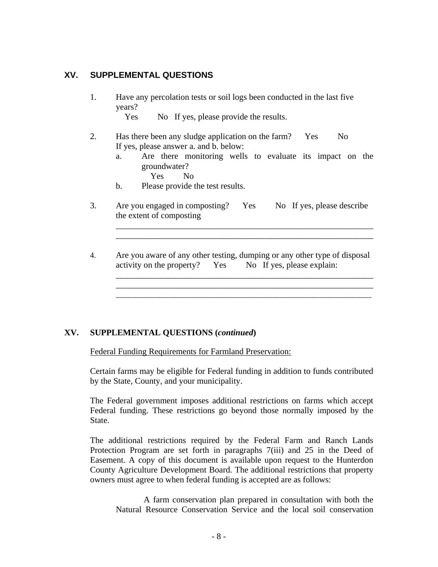## **XV. SUPPLEMENTAL QUESTIONS**

1. Have any percolation tests or soil logs been conducted in the last five years?

Yes No If yes, please provide the results.

- 2. Has there been any sludge application on the farm? Yes No If yes, please answer a. and b. below:
	- a. Are there monitoring wells to evaluate its impact on the groundwater?

\_\_\_\_\_\_\_\_\_\_\_\_\_\_\_\_\_\_\_\_\_\_\_\_\_\_\_\_\_\_\_\_\_\_\_\_\_\_\_\_\_\_\_\_\_\_\_\_\_\_\_\_\_\_\_\_\_\_\_\_ \_\_\_\_\_\_\_\_\_\_\_\_\_\_\_\_\_\_\_\_\_\_\_\_\_\_\_\_\_\_\_\_\_\_\_\_\_\_\_\_\_\_\_\_\_\_\_\_\_\_\_\_\_\_\_\_\_\_\_\_

\_\_\_\_\_\_\_\_\_\_\_\_\_\_\_\_\_\_\_\_\_\_\_\_\_\_\_\_\_\_\_\_\_\_\_\_\_\_\_\_\_\_\_\_\_\_\_\_\_\_\_\_\_\_\_\_\_\_\_\_ \_\_\_\_\_\_\_\_\_\_\_\_\_\_\_\_\_\_\_\_\_\_\_\_\_\_\_\_\_\_\_\_\_\_\_\_\_\_\_\_\_\_\_\_\_\_\_\_\_\_\_\_\_\_\_\_\_\_\_\_ \_\_\_\_\_\_\_\_\_\_\_\_\_\_\_\_\_\_\_\_\_\_\_\_\_\_\_\_\_\_\_\_\_\_\_\_\_\_\_\_\_\_\_\_\_\_\_\_\_\_\_\_\_\_\_\_\_\_\_\_\_\_\_\_\_

- Yes No
- b. Please provide the test results.
- 3. Are you engaged in composting? Yes No If yes, please describe the extent of composting
- 4. Are you aware of any other testing, dumping or any other type of disposal activity on the property? Yes No If yes, please explain:

### **XV. SUPPLEMENTAL QUESTIONS (***continued***)**

Federal Funding Requirements for Farmland Preservation:

Certain farms may be eligible for Federal funding in addition to funds contributed by the State, County, and your municipality.

 The Federal government imposes additional restrictions on farms which accept Federal funding. These restrictions go beyond those normally imposed by the State.

 The additional restrictions required by the Federal Farm and Ranch Lands Protection Program are set forth in paragraphs 7(iii) and 25 in the Deed of Easement. A copy of this document is available upon request to the Hunterdon County Agriculture Development Board. The additional restrictions that property owners must agree to when federal funding is accepted are as follows:

 A farm conservation plan prepared in consultation with both the Natural Resource Conservation Service and the local soil conservation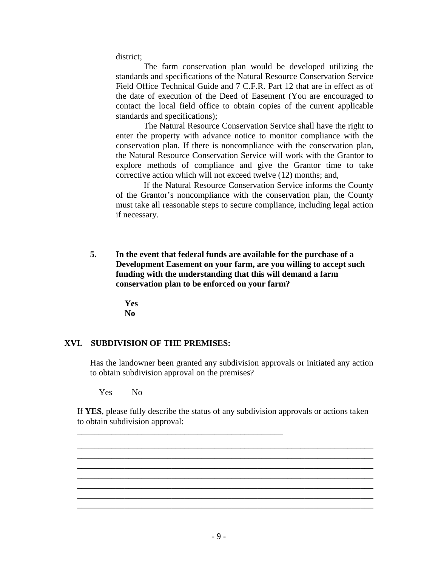district;

 The farm conservation plan would be developed utilizing the standards and specifications of the Natural Resource Conservation Service Field Office Technical Guide and 7 C.F.R. Part 12 that are in effect as of the date of execution of the Deed of Easement (You are encouraged to contact the local field office to obtain copies of the current applicable standards and specifications);

 The Natural Resource Conservation Service shall have the right to enter the property with advance notice to monitor compliance with the conservation plan. If there is noncompliance with the conservation plan, the Natural Resource Conservation Service will work with the Grantor to explore methods of compliance and give the Grantor time to take corrective action which will not exceed twelve (12) months; and,

 If the Natural Resource Conservation Service informs the County of the Grantor's noncompliance with the conservation plan, the County must take all reasonable steps to secure compliance, including legal action if necessary.

**5. In the event that federal funds are available for the purchase of a Development Easement on your farm, are you willing to accept such funding with the understanding that this will demand a farm conservation plan to be enforced on your farm?** 

> **Yes No**

### **XVI. SUBDIVISION OF THE PREMISES:**

Has the landowner been granted any subdivision approvals or initiated any action to obtain subdivision approval on the premises?

Yes No

If **YES**, please fully describe the status of any subdivision approvals or actions taken to obtain subdivision approval:

\_\_\_\_\_\_\_\_\_\_\_\_\_\_\_\_\_\_\_\_\_\_\_\_\_\_\_\_\_\_\_\_\_\_\_\_\_\_\_\_\_\_\_\_\_\_\_\_\_\_\_\_\_\_\_\_\_\_\_\_\_\_\_\_\_\_\_\_\_ \_\_\_\_\_\_\_\_\_\_\_\_\_\_\_\_\_\_\_\_\_\_\_\_\_\_\_\_\_\_\_\_\_\_\_\_\_\_\_\_\_\_\_\_\_\_\_\_\_\_\_\_\_\_\_\_\_\_\_\_\_\_\_\_\_\_\_\_\_ \_\_\_\_\_\_\_\_\_\_\_\_\_\_\_\_\_\_\_\_\_\_\_\_\_\_\_\_\_\_\_\_\_\_\_\_\_\_\_\_\_\_\_\_\_\_\_\_\_\_\_\_\_\_\_\_\_\_\_\_\_\_\_\_\_\_\_\_\_ \_\_\_\_\_\_\_\_\_\_\_\_\_\_\_\_\_\_\_\_\_\_\_\_\_\_\_\_\_\_\_\_\_\_\_\_\_\_\_\_\_\_\_\_\_\_\_\_\_\_\_\_\_\_\_\_\_\_\_\_\_\_\_\_\_\_\_\_\_ \_\_\_\_\_\_\_\_\_\_\_\_\_\_\_\_\_\_\_\_\_\_\_\_\_\_\_\_\_\_\_\_\_\_\_\_\_\_\_\_\_\_\_\_\_\_\_\_\_\_\_\_\_\_\_\_\_\_\_\_\_\_\_\_\_\_\_\_\_ \_\_\_\_\_\_\_\_\_\_\_\_\_\_\_\_\_\_\_\_\_\_\_\_\_\_\_\_\_\_\_\_\_\_\_\_\_\_\_\_\_\_\_\_\_\_\_\_\_\_\_\_\_\_\_\_\_\_\_\_\_\_\_\_\_\_\_\_\_ \_\_\_\_\_\_\_\_\_\_\_\_\_\_\_\_\_\_\_\_\_\_\_\_\_\_\_\_\_\_\_\_\_\_\_\_\_\_\_\_\_\_\_\_\_\_\_\_\_\_\_\_\_\_\_\_\_\_\_\_\_\_\_\_\_\_\_\_\_

\_\_\_\_\_\_\_\_\_\_\_\_\_\_\_\_\_\_\_\_\_\_\_\_\_\_\_\_\_\_\_\_\_\_\_\_\_\_\_\_\_\_\_\_\_\_\_\_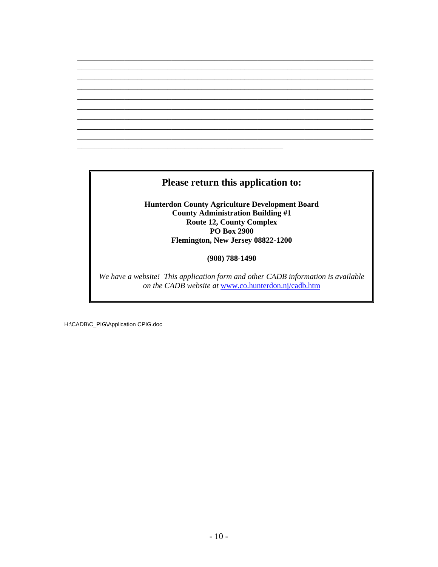## **Please return this application to:**

\_\_\_\_\_\_\_\_\_\_\_\_\_\_\_\_\_\_\_\_\_\_\_\_\_\_\_\_\_\_\_\_\_\_\_\_\_\_\_\_\_\_\_\_\_\_\_\_

\_\_\_\_\_\_\_\_\_\_\_\_\_\_\_\_\_\_\_\_\_\_\_\_\_\_\_\_\_\_\_\_\_\_\_\_\_\_\_\_\_\_\_\_\_\_\_\_\_\_\_\_\_\_\_\_\_\_\_\_\_\_\_\_\_\_\_\_\_ \_\_\_\_\_\_\_\_\_\_\_\_\_\_\_\_\_\_\_\_\_\_\_\_\_\_\_\_\_\_\_\_\_\_\_\_\_\_\_\_\_\_\_\_\_\_\_\_\_\_\_\_\_\_\_\_\_\_\_\_\_\_\_\_\_\_\_\_\_ \_\_\_\_\_\_\_\_\_\_\_\_\_\_\_\_\_\_\_\_\_\_\_\_\_\_\_\_\_\_\_\_\_\_\_\_\_\_\_\_\_\_\_\_\_\_\_\_\_\_\_\_\_\_\_\_\_\_\_\_\_\_\_\_\_\_\_\_\_ \_\_\_\_\_\_\_\_\_\_\_\_\_\_\_\_\_\_\_\_\_\_\_\_\_\_\_\_\_\_\_\_\_\_\_\_\_\_\_\_\_\_\_\_\_\_\_\_\_\_\_\_\_\_\_\_\_\_\_\_\_\_\_\_\_\_\_\_\_ \_\_\_\_\_\_\_\_\_\_\_\_\_\_\_\_\_\_\_\_\_\_\_\_\_\_\_\_\_\_\_\_\_\_\_\_\_\_\_\_\_\_\_\_\_\_\_\_\_\_\_\_\_\_\_\_\_\_\_\_\_\_\_\_\_\_\_\_\_ \_\_\_\_\_\_\_\_\_\_\_\_\_\_\_\_\_\_\_\_\_\_\_\_\_\_\_\_\_\_\_\_\_\_\_\_\_\_\_\_\_\_\_\_\_\_\_\_\_\_\_\_\_\_\_\_\_\_\_\_\_\_\_\_\_\_\_\_\_ \_\_\_\_\_\_\_\_\_\_\_\_\_\_\_\_\_\_\_\_\_\_\_\_\_\_\_\_\_\_\_\_\_\_\_\_\_\_\_\_\_\_\_\_\_\_\_\_\_\_\_\_\_\_\_\_\_\_\_\_\_\_\_\_\_\_\_\_\_ \_\_\_\_\_\_\_\_\_\_\_\_\_\_\_\_\_\_\_\_\_\_\_\_\_\_\_\_\_\_\_\_\_\_\_\_\_\_\_\_\_\_\_\_\_\_\_\_\_\_\_\_\_\_\_\_\_\_\_\_\_\_\_\_\_\_\_\_\_ \_\_\_\_\_\_\_\_\_\_\_\_\_\_\_\_\_\_\_\_\_\_\_\_\_\_\_\_\_\_\_\_\_\_\_\_\_\_\_\_\_\_\_\_\_\_\_\_\_\_\_\_\_\_\_\_\_\_\_\_\_\_\_\_\_\_\_\_\_

> **Hunterdon County Agriculture Development Board County Administration Building #1 Route 12, County Complex PO Box 2900 Flemington, New Jersey 08822-1200**

> > **(908) 788-1490**

*We have a website! This application form and other CADB information is available on the CADB website at* www.co.hunterdon.nj/cadb.htm

H:\CADB\C\_PIG\Application CPIG.doc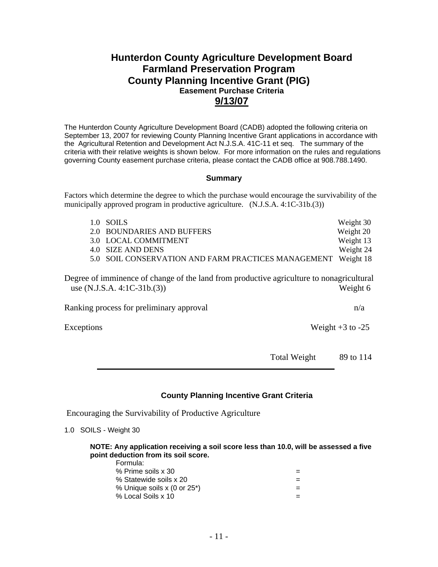## **Hunterdon County Agriculture Development Board Farmland Preservation Program County Planning Incentive Grant (PIG) Easement Purchase Criteria 9/13/07**

The Hunterdon County Agriculture Development Board (CADB) adopted the following criteria on September 13, 2007 for reviewing County Planning Incentive Grant applications in accordance with the Agricultural Retention and Development Act N.J.S.A. 41C-11 et seq. The summary of the criteria with their relative weights is shown below. For more information on the rules and regulations governing County easement purchase criteria, please contact the CADB office at 908.788.1490.

#### **Summary**

Factors which determine the degree to which the purchase would encourage the survivability of the municipally approved program in productive agriculture. (N.J.S.A. 4:1C-31b.(3))

| 1.0 SOILS                                                     | Weight 30 |
|---------------------------------------------------------------|-----------|
| 2.0 BOUNDARIES AND BUFFERS                                    | Weight 20 |
| 3.0 LOCAL COMMITMENT                                          | Weight 13 |
| 4.0 SIZE AND DENS                                             | Weight 24 |
| 5.0 SOIL CONSERVATION AND FARM PRACTICES MANAGEMENT Weight 18 |           |

Degree of imminence of change of the land from productive agriculture to nonagricultural use (N.J.S.A. 4:1C-31b.(3)) Weight 6

Ranking process for preliminary approval  $n/a$ 

Exceptions Weight +3 to -25

Total Weight 89 to 114

#### **County Planning Incentive Grant Criteria**

Encouraging the Survivability of Productive Agriculture

1.0 SOILS - Weight 30

**NOTE: Any application receiving a soil score less than 10.0, will be assessed a five point deduction from its soil score.**

| Formula:                    |     |
|-----------------------------|-----|
| % Prime soils x 30          | $=$ |
| % Statewide soils x 20      | $=$ |
| % Unique soils x (0 or 25*) | $=$ |
| % Local Soils x 10          | $=$ |
|                             |     |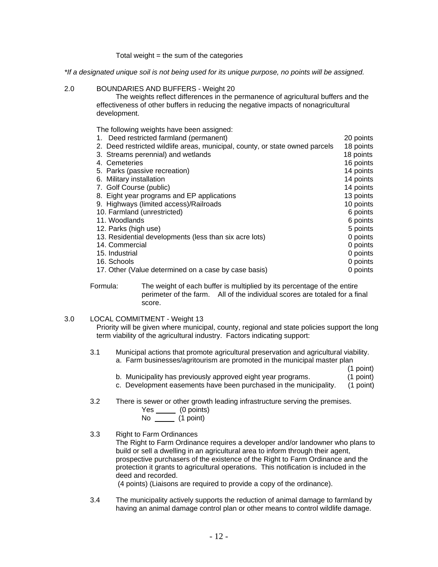Total weight  $=$  the sum of the categories

*\*If a designated unique soil is not being used for its unique purpose, no points will be assigned.*

#### 2.0 BOUNDARIES AND BUFFERS - Weight 20

The weights reflect differences in the permanence of agricultural buffers and the effectiveness of other buffers in reducing the negative impacts of nonagricultural development.

The following weights have been assigned:

| 1. Deed restricted farmland (permanent)                                      | 20 points |
|------------------------------------------------------------------------------|-----------|
| 2. Deed restricted wildlife areas, municipal, county, or state owned parcels | 18 points |
| 3. Streams perennial) and wetlands                                           | 18 points |
| 4. Cemeteries                                                                | 16 points |
| 5. Parks (passive recreation)                                                | 14 points |
| 6. Military installation                                                     | 14 points |
| 7. Golf Course (public)                                                      | 14 points |
| 8. Eight year programs and EP applications                                   | 13 points |
| 9. Highways (limited access)/Railroads                                       | 10 points |
| 10. Farmland (unrestricted)                                                  | 6 points  |
| 11. Woodlands                                                                | 6 points  |
| 12. Parks (high use)                                                         | 5 points  |
| 13. Residential developments (less than six acre lots)                       | 0 points  |
| 14. Commercial                                                               | 0 points  |
| 15. Industrial                                                               | 0 points  |
| 16. Schools                                                                  | 0 points  |
| 17. Other (Value determined on a case by case basis)                         | 0 points  |

Formula: The weight of each buffer is multiplied by its percentage of the entire perimeter of the farm. All of the individual scores are totaled for a final score.

#### 3.0 LOCAL COMMITMENT - Weight 13

Priority will be given where municipal, county, regional and state policies support the long term viability of the agricultural industry. Factors indicating support:

#### 3.1 Municipal actions that promote agricultural preservation and agricultural viability.

- a. Farm businesses/agritourism are promoted in the municipal master plan
	- (1 point)
- b. Municipality has previously approved eight year programs. (1 point)
- c. Development easements have been purchased in the municipality. (1 point)

3.2 There is sewer or other growth leading infrastructure serving the premises.

| Yes | (0 points)  |  |
|-----|-------------|--|
| N٥  | $(1$ point) |  |

#### 3.3 Right to Farm Ordinances

The Right to Farm Ordinance requires a developer and/or landowner who plans to build or sell a dwelling in an agricultural area to inform through their agent, prospective purchasers of the existence of the Right to Farm Ordinance and the protection it grants to agricultural operations. This notification is included in the deed and recorded.

(4 points) (Liaisons are required to provide a copy of the ordinance).

3.4 The municipality actively supports the reduction of animal damage to farmland by having an animal damage control plan or other means to control wildlife damage.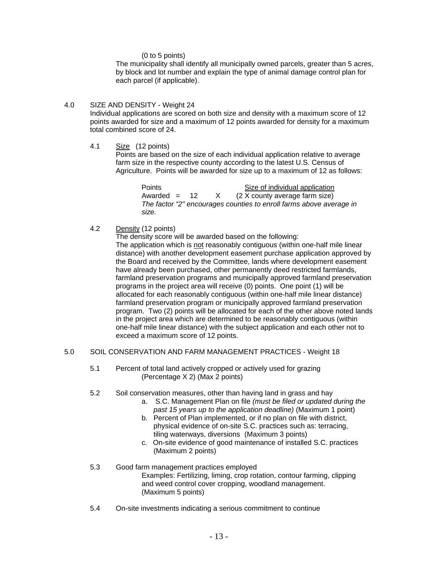(0 to 5 points)

The municipality shall identify all municipally owned parcels, greater than 5 acres, by block and lot number and explain the type of animal damage control plan for each parcel (if applicable).

#### 4.0 SIZE AND DENSITY - Weight 24

Individual applications are scored on both size and density with a maximum score of 12 points awarded for size and a maximum of 12 points awarded for density for a maximum total combined score of 24.

4.1 Size (12 points)

Points are based on the size of each individual application relative to average farm size in the respective county according to the latest U.S. Census of Agriculture. Points will be awarded for size up to a maximum of 12 as follows:

> Points **Size of individual application** Awarded =  $12$  X (2 X county average farm size) *The factor "2" encourages counties to enroll farms above average in size.*

4.2 Density (12 points)

The density score will be awarded based on the following:

The application which is not reasonably contiguous (within one-half mile linear distance) with another development easement purchase application approved by the Board and received by the Committee, lands where development easement have already been purchased, other permanently deed restricted farmlands, farmland preservation programs and municipally approved farmland preservation programs in the project area will receive (0) points. One point (1) will be allocated for each reasonably contiguous (within one-half mile linear distance) farmland preservation program or municipally approved farmland preservation program. Two (2) points will be allocated for each of the other above noted lands in the project area which are determined to be reasonably contiguous (within one-half mile linear distance) with the subject application and each other not to exceed a maximum score of 12 points.

#### 5.0 SOIL CONSERVATION AND FARM MANAGEMENT PRACTICES - Weight 18

- 5.1 Percent of total land actively cropped or actively used for grazing (Percentage X 2) (Max 2 points)
- 5.2 Soil conservation measures, other than having land in grass and hay
	- a. S.C. Management Plan on file *(must be filed or updated during the past 15 years up to the application deadline)* (Maximum 1 point)
	- b. Percent of Plan implemented, or if no plan on file with district, physical evidence of on-site S.C. practices such as: terracing, tiling waterways, diversions (Maximum 3 points)
	- c. On-site evidence of good maintenance of installed S.C. practices (Maximum 2 points)
- 5.3 Good farm management practices employed Examples: Fertilizing, liming, crop rotation, contour farming, clipping and weed control cover cropping, woodland management. (Maximum 5 points)
- 5.4 On-site investments indicating a serious commitment to continue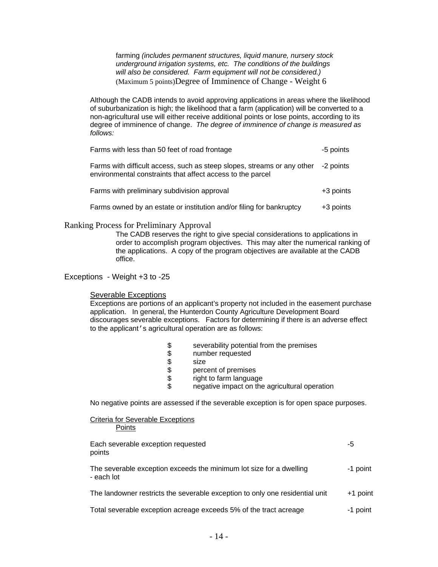farming *(includes permanent structures, liquid manure, nursery stock underground irrigation systems, etc. The conditions of the buildings will also be considered. Farm equipment will not be considered.)*  (Maximum 5 points)Degree of Imminence of Change - Weight 6

Although the CADB intends to avoid approving applications in areas where the likelihood of suburbanization is high; the likelihood that a farm (application) will be converted to a non-agricultural use will either receive additional points or lose points, according to its degree of imminence of change. *The degree of imminence of change is measured as follows:*

| Farms with less than 50 feet of road frontage                                                                                         |             |
|---------------------------------------------------------------------------------------------------------------------------------------|-------------|
| Farms with difficult access, such as steep slopes, streams or any other<br>environmental constraints that affect access to the parcel | -2 points   |
| Farms with preliminary subdivision approval                                                                                           | $+3$ points |
| Farms owned by an estate or institution and/or filing for bankruptcy                                                                  | +3 points   |

#### Ranking Process for Preliminary Approval

The CADB reserves the right to give special considerations to applications in order to accomplish program objectives. This may alter the numerical ranking of the applications. A copy of the program objectives are available at the CADB office.

#### Exceptions - Weight +3 to -25

#### Severable Exceptions

Exceptions are portions of an applicant's property not included in the easement purchase application. In general, the Hunterdon County Agriculture Development Board discourages severable exceptions. Factors for determining if there is an adverse effect to the applicant's agricultural operation are as follows:

- \$ severability potential from the premises
- \$ number requested
- 
- \$<br>\$ perc percent of premises
- \$ right to farm language
- \$ negative impact on the agricultural operation

No negative points are assessed if the severable exception is for open space purposes.

| Criteria for Severable Exceptions<br><b>Points</b>                                |          |
|-----------------------------------------------------------------------------------|----------|
| Each severable exception requested<br>points                                      | -5       |
| The severable exception exceeds the minimum lot size for a dwelling<br>- each lot | -1 point |
| The landowner restricts the severable exception to only one residential unit      | +1 point |
| Total severable exception acreage exceeds 5% of the tract acreage                 | -1 point |